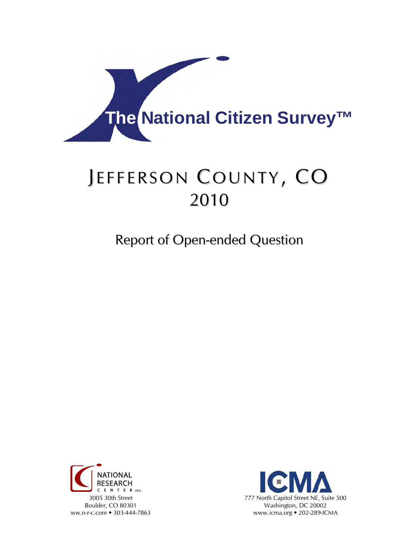

# JEFFERSON COUNTY, CO 2010

Report of Open-ended Question



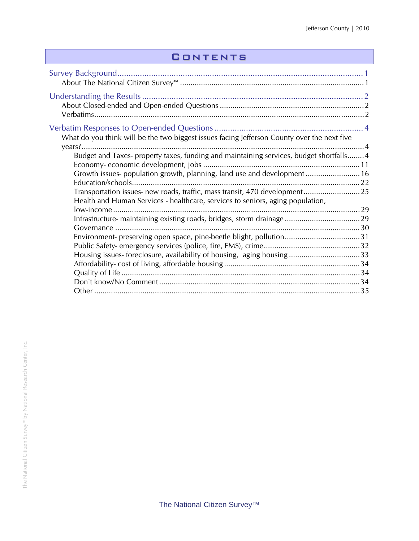## **CONTENTS**

| What do you think will be the two biggest issues facing Jefferson County over the next five                                                                        |  |
|--------------------------------------------------------------------------------------------------------------------------------------------------------------------|--|
| Budget and Taxes- property taxes, funding and maintaining services, budget shortfalls 4<br>Growth issues- population growth, planning, land use and development 16 |  |
| Transportation issues- new roads, traffic, mass transit, 470 development 25<br>Health and Human Services - healthcare, services to seniors, aging population,      |  |
|                                                                                                                                                                    |  |
|                                                                                                                                                                    |  |
|                                                                                                                                                                    |  |
|                                                                                                                                                                    |  |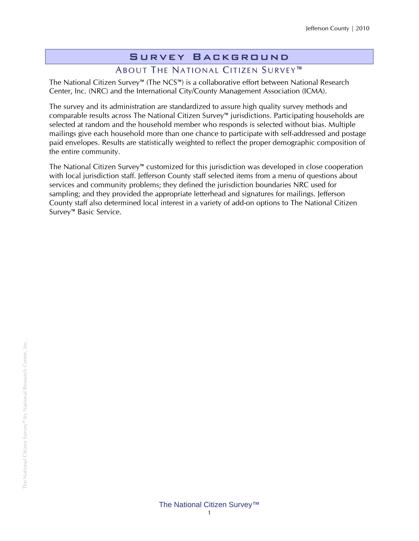# Survey Background

## ABOUT THE NATIONAL CITIZEN SURVEY<sup>™</sup>

The National Citizen Survey™ (The NCS™) is a collaborative effort between National Research Center, Inc. (NRC) and the International City/County Management Association (ICMA).

The survey and its administration are standardized to assure high quality survey methods and comparable results across The National Citizen Survey™ jurisdictions. Participating households are selected at random and the household member who responds is selected without bias. Multiple mailings give each household more than one chance to participate with self-addressed and postage paid envelopes. Results are statistically weighted to reflect the proper demographic composition of the entire community.

The National Citizen Survey™ customized for this jurisdiction was developed in close cooperation with local jurisdiction staff. Jefferson County staff selected items from a menu of questions about services and community problems; they defined the jurisdiction boundaries NRC used for sampling; and they provided the appropriate letterhead and signatures for mailings. Jefferson County staff also determined local interest in a variety of add-on options to The National Citizen Survey™ Basic Service.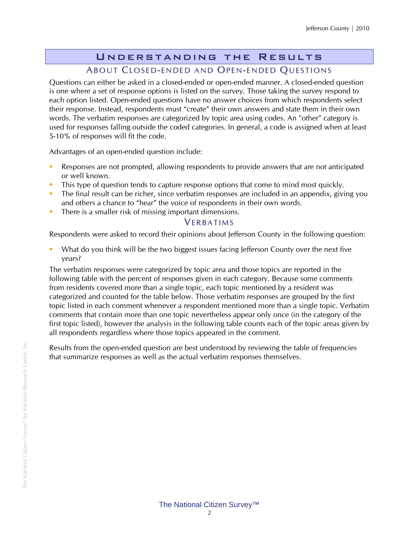## Understanding the Results ABOUT CLOSED-ENDED AND OPEN-ENDED QUESTIONS

Questions can either be asked in a closed-ended or open-ended manner. A closed-ended question is one where a set of response options is listed on the survey. Those taking the survey respond to each option listed. Open-ended questions have no answer choices from which respondents select their response. Instead, respondents must "create" their own answers and state them in their own words. The verbatim responses are categorized by topic area using codes. An "other" category is used for responses falling outside the coded categories. In general, a code is assigned when at least 5-10% of responses will fit the code.

Advantages of an open-ended question include:

- Responses are not prompted, allowing respondents to provide answers that are not anticipated or well known.
- This type of question tends to capture response options that come to mind most quickly.
- The final result can be richer, since verbatim responses are included in an appendix, giving you and others a chance to "hear" the voice of respondents in their own words.
- There is a smaller risk of missing important dimensions.

#### **VERBATIMS**

Respondents were asked to record their opinions about Jefferson County in the following question:

 What do you think will be the two biggest issues facing Jefferson County over the next five years?

The verbatim responses were categorized by topic area and those topics are reported in the following table with the percent of responses given in each category. Because some comments from residents covered more than a single topic, each topic mentioned by a resident was categorized and counted for the table below. Those verbatim responses are grouped by the first topic listed in each comment whenever a respondent mentioned more than a single topic. Verbatim comments that contain more than one topic nevertheless appear only once (in the category of the first topic listed), however the analysis in the following table counts each of the topic areas given by all respondents regardless where those topics appeared in the comment.

Results from the open-ended question are best understood by reviewing the table of frequencies that summarize responses as well as the actual verbatim responses themselves.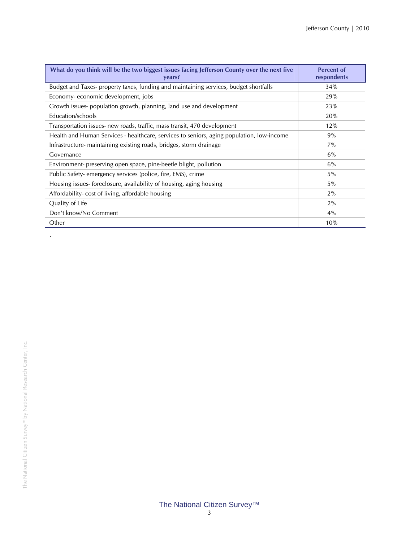| What do you think will be the two biggest issues facing Jefferson County over the next five<br>vears? | <b>Percent of</b><br>respondents |
|-------------------------------------------------------------------------------------------------------|----------------------------------|
| Budget and Taxes- property taxes, funding and maintaining services, budget shortfalls                 | 34%                              |
| Economy-economic development, jobs                                                                    | 29%                              |
| Growth issues-population growth, planning, land use and development                                   | 23%                              |
| Education/schools                                                                                     | 20%                              |
| Transportation issues- new roads, traffic, mass transit, 470 development                              | 12%                              |
| Health and Human Services - healthcare, services to seniors, aging population, low-income             | 9%                               |
| Infrastructure- maintaining existing roads, bridges, storm drainage                                   | $7\%$                            |
| Governance                                                                                            | 6%                               |
| Environment- preserving open space, pine-beetle blight, pollution                                     | 6%                               |
| Public Safety-emergency services (police, fire, EMS), crime                                           | 5%                               |
| Housing issues-foreclosure, availability of housing, aging housing                                    | $5\%$                            |
| Affordability-cost of living, affordable housing                                                      | $2\%$                            |
| Quality of Life                                                                                       | $2\%$                            |
| Don't know/No Comment                                                                                 | 4%                               |
| Other                                                                                                 | 10%                              |

.

#### The National Citizen Survey™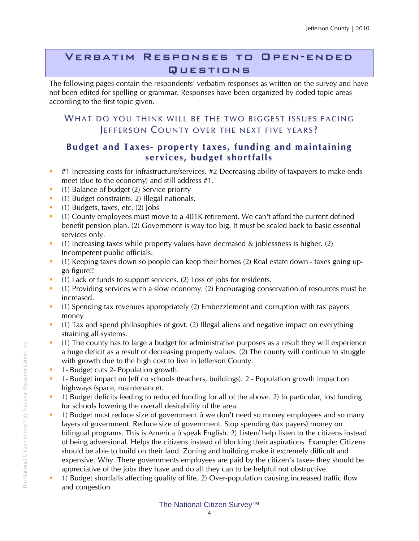## Verbatim Responses to Open-ended Questions

The following pages contain the respondents' verbatim responses as written on the survey and have not been edited for spelling or grammar. Responses have been organized by coded topic areas according to the first topic given.

### WHAT DO YOU THINK WILL BE THE TWO BIGGEST ISSUES FACING JEFFERSON COUNTY OVER THE NEXT FIVE YEARS?

### **Budget and Taxes- property taxes, funding and maintaining services, budget shortfalls**

- $\bullet$  #1 Increasing costs for infrastructure/services. #2 Decreasing ability of taxpayers to make ends meet (due to the economy) and still address #1.
- **•** (1) Balance of budget (2) Service priority
- (1) Budget constraints. 2) Illegal nationals.
- $(1)$  Budgets, taxes, etc.  $(2)$  Jobs
- (1) County employees must move to a 401K retirement. We can't afford the current defined benefit pension plan. (2) Government is way too big. It must be scaled back to basic essential services only.
- (1) Increasing taxes while property values have decreased  $\&$  joblessness is higher. (2) Incompetent public officials.
- (1) Keeping taxes down so people can keep their homes (2) Real estate down taxes going upgo figure!!
- (1) Lack of funds to support services. (2) Loss of jobs for residents.
- <sup>1</sup> (1) Providing services with a slow economy. (2) Encouraging conservation of resources must be increased.
- (1) Spending tax revenues appropriately (2) Embezzlement and corruption with tax payers money
- (1) Tax and spend philosophies of govt. (2) Illegal aliens and negative impact on everything straining all systems.
- (1) The county has to large a budget for administrative purposes as a result they will experience a huge deficit as a result of decreasing property values. (2) The county will continue to struggle with growth due to the high cost to live in Jefferson County.
- 1- Budget cuts 2- Population growth.
- 1- Budget impact on Jeff co schools (teachers, buildings). 2 Population growth impact on highways (space, maintenance).
- 1) Budget deficits feeding to reduced funding for all of the above. 2) In particular, lost funding for schools lowering the overall desirability of the area.
- 1) Budget must reduce size of government û we don't need so money employees and so many layers of government. Reduce size of government. Stop spending (tax payers) money on bilingual programs. This is America û speak English. 2) Listen/ help listen to the citizens instead of being adversional. Helps the citizens instead of blocking their aspirations. Example: Citizens should be able to build on their land. Zoning and building make it extremely difficult and expensive. Why. There governments employees are paid by the citizen's taxes- they should be appreciative of the jobs they have and do all they can to be helpful not obstructive.
- <sup>1</sup> 1) Budget shortfalls affecting quality of life. 2) Over-population causing increased traffic flow and congestion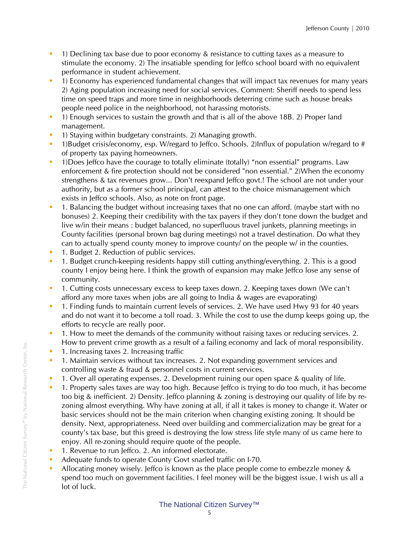- 1) Declining tax base due to poor economy & resistance to cutting taxes as a measure to stimulate the economy. 2) The insatiable spending for Jeffco school board with no equivalent performance in student achievement.
- <sup>1</sup> 1) Economy has experienced fundamental changes that will impact tax revenues for many years 2) Aging population increasing need for social services. Comment: Sheriff needs to spend less time on speed traps and more time in neighborhoods deterring crime such as house breaks people need police in the neighborhood, not harassing motorists.
- 1) Enough services to sustain the growth and that is all of the above 18B. 2) Proper land management.
- <sup>1</sup> 1) Staying within budgetary constraints. 2) Managing growth.
- 1)Budget crisis/economy, esp. W/regard to Jeffco. Schools. 2)Influx of population w/regard to # of property tax paying homeowners.
- <sup>1</sup> 1)Does Jeffco have the courage to totally eliminate (totally) "non essential" programs. Law enforcement & fire protection should not be considered "non essential." 2)When the economy strengthens & tax revenues grow... Don't reexpand Jeffco govt.! The school are not under your authority, but as a former school principal, can attest to the choice mismanagement which exists in Jeffco schools. Also, as note on front page.
- <sup>1</sup> 1. Balancing the budget without increasing taxes that no one can afford. (maybe start with no bonuses) 2. Keeping their credibility with the tax payers if they don't tone down the budget and live w/in their means : budget balanced, no superfluous travel junkets, planning meetings in County facilities (personal brown bag during meetings) not a travel destination. Do what they can to actually spend county money to improve county/ on the people w/ in the counties.
- **1. Budget 2. Reduction of public services.**
- 1. Budget crunch-keeping residents happy still cutting anything/everything. 2. This is a good county I enjoy being here. I think the growth of expansion may make Jeffco lose any sense of community.
- <sup>1</sup> 1. Cutting costs unnecessary excess to keep taxes down. 2. Keeping taxes down (We can't afford any more taxes when jobs are all going to India & wages are evaporating)
- <sup>1</sup> 1. Finding funds to maintain current levels of services. 2. We have used Hwy 93 for 40 years and do not want it to become a toll road. 3. While the cost to use the dump keeps going up, the efforts to recycle are really poor.
- <sup>1</sup> 1. How to meet the demands of the community without raising taxes or reducing services. 2. How to prevent crime growth as a result of a failing economy and lack of moral responsibility.
- **1.** Increasing taxes 2. Increasing traffic
- 1. Maintain services without tax increases. 2. Not expanding government services and controlling waste & fraud & personnel costs in current services.
- 1. Over all operating expenses. 2. Development ruining our open space & quality of life.
- **1. Property sales taxes are way too high. Because Jeffco is trying to do too much, it has become** too big & inefficient. 2) Density. Jeffco planning & zoning is destroying our quality of life by rezoning almost everything. Why have zoning at all, if all it takes is money to change it. Water or basic services should not be the main criterion when changing existing zoning. It should be density. Next, appropriateness. Need over building and commercialization may be great for a county's tax base, but this greed is destroying the low stress life style many of us came here to enjoy. All re-zoning should require quote of the people.
- 1. Revenue to run Jeffco. 2. An informed electorate.
- Adequate funds to operate County Govt snarled traffic on I-70.
- Allocating money wisely. Jeffco is known as the place people come to embezzle money & spend too much on government facilities. I feel money will be the biggest issue. I wish us all a lot of luck.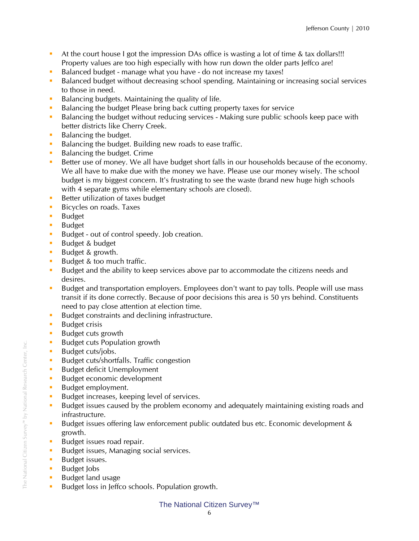- At the court house I got the impression DAs office is wasting a lot of time & tax dollars!!! Property values are too high especially with how run down the older parts Jeffco are!
- Balanced budget manage what you have do not increase my taxes!
- **Balanced budget without decreasing school spending. Maintaining or increasing social services** to those in need.
- Balancing budgets. Maintaining the quality of life.
- Balancing the budget Please bring back cutting property taxes for service
- Balancing the budget without reducing services Making sure public schools keep pace with better districts like Cherry Creek.
- Balancing the budget.
- Balancing the budget. Building new roads to ease traffic.
- Balancing the budget. Crime
- Better use of money. We all have budget short falls in our households because of the economy. We all have to make due with the money we have. Please use our money wisely. The school budget is my biggest concern. It's frustrating to see the waste (brand new huge high schools with 4 separate gyms while elementary schools are closed).
- Better utilization of taxes budget
- **Bicycles on roads. Taxes**
- **Budget**
- **Budget**
- Budget out of control speedy. Job creation.
- **Budget & budget**
- Budget & growth.
- Budget & too much traffic.
- **Budget and the ability to keep services above par to accommodate the citizens needs and** desires.
- Budget and transportation employers. Employees don't want to pay tolls. People will use mass transit if its done correctly. Because of poor decisions this area is 50 yrs behind. Constituents need to pay close attention at election time.
- Budget constraints and declining infrastructure.
- **Budget crisis**
- **Budget cuts growth**
- Budget cuts Population growth
- **Budget cuts/jobs.**
- Budget cuts/shortfalls. Traffic congestion
- **Budget deficit Unemployment**
- **Budget economic development**
- **Budget employment.**
- Budget increases, keeping level of services.
- Budget issues caused by the problem economy and adequately maintaining existing roads and infrastructure.
- Budget issues offering law enforcement public outdated bus etc. Economic development & growth.
- **Budget issues road repair.**
- Budget issues, Managing social services.
- **Budget issues.**
- **Budget Jobs**
- **Budget land usage**
- Budget loss in Jeffco schools. Population growth.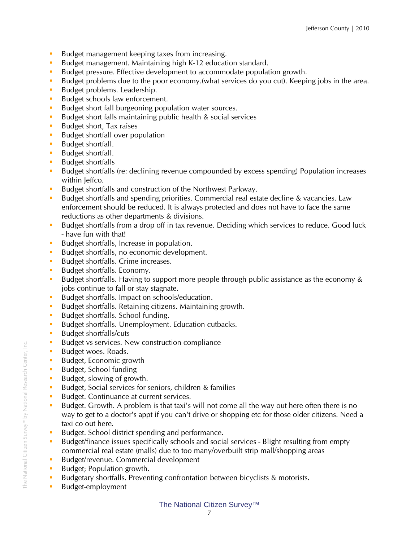- Budget management keeping taxes from increasing.
- Budget management. Maintaining high K-12 education standard.
- Budget pressure. Effective development to accommodate population growth.
- Budget problems due to the poor economy. (what services do you cut). Keeping jobs in the area.
- Budget problems. Leadership.
- Budget schools law enforcement.
- Budget short fall burgeoning population water sources.
- Budget short falls maintaining public health & social services
- Budget short, Tax raises
- **Budget shortfall over population**
- **Budget shortfall.**
- **Budget shortfall.**
- **Budget shortfalls**
- Budget shortfalls (re: declining revenue compounded by excess spending) Population increases within Jeffco.
- Budget shortfalls and construction of the Northwest Parkway.
- **Budget shortfalls and spending priorities. Commercial real estate decline & vacancies. Law** enforcement should be reduced. It is always protected and does not have to face the same reductions as other departments & divisions.
- Budget shortfalls from a drop off in tax revenue. Deciding which services to reduce. Good luck - have fun with that!
- Budget shortfalls, Increase in population.
- Budget shortfalls, no economic development.
- Budget shortfalls. Crime increases.
- Budget shortfalls. Economy.
- Budget shortfalls. Having to support more people through public assistance as the economy & jobs continue to fall or stay stagnate.
- Budget shortfalls. Impact on schools/education.
- Budget shortfalls. Retaining citizens. Maintaining growth.
- Budget shortfalls. School funding.
- Budget shortfalls. Unemployment. Education cutbacks.
- **Budget shortfalls/cuts**
- Budget vs services. New construction compliance
- Budget woes. Roads.
- Budget, Economic growth
- **Budget, School funding**
- Budget, slowing of growth.
- Budget, Social services for seniors, children & families
- Budget. Continuance at current services.
- Budget. Growth. A problem is that taxi's will not come all the way out here often there is no way to get to a doctor's appt if you can't drive or shopping etc for those older citizens. Need a taxi co out here.
- Budget. School district spending and performance.
- Budget/finance issues specifically schools and social services Blight resulting from empty commercial real estate (malls) due to too many/overbuilt strip mall/shopping areas
- Budget/revenue. Commercial development
- Budget; Population growth.
- **Budgetary shortfalls. Preventing confrontation between bicyclists & motorists.**
- **Budget-employment**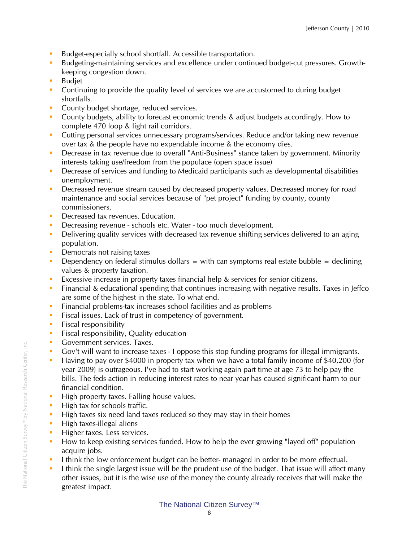- Budget-especially school shortfall. Accessible transportation.
- Budgeting-maintaining services and excellence under continued budget-cut pressures. Growthkeeping congestion down.
- **Budjet**
- Continuing to provide the quality level of services we are accustomed to during budget shortfalls.
- **County budget shortage, reduced services.**
- **County budgets, ability to forecast economic trends & adjust budgets accordingly. How to** complete 470 loop & light rail corridors.
- Cutting personal services unnecessary programs/services. Reduce and/or taking new revenue over tax & the people have no expendable income & the economy dies.
- Decrease in tax revenue due to overall "Anti-Business" stance taken by government. Minority interests taking use/freedom from the populace (open space issue)
- **Decrease of services and funding to Medicaid participants such as developmental disabilities** unemployment.
- **Decreased revenue stream caused by decreased property values. Decreased money for road** maintenance and social services because of "pet project" funding by county, county commissioners.
- **Decreased tax revenues. Education.**
- Decreasing revenue schools etc. Water too much development.
- Delivering quality services with decreased tax revenue shifting services delivered to an aging population.
- **Democrats not raising taxes**
- Dependency on federal stimulus dollars  $=$  with can symptoms real estate bubble  $=$  declining values & property taxation.
- Excessive increase in property taxes financial help & services for senior citizens.
- Financial & educational spending that continues increasing with negative results. Taxes in Jeffco are some of the highest in the state. To what end.
- **Financial problems-tax increases school facilities and as problems**
- Fiscal issues. Lack of trust in competency of government.
- $\blacksquare$  Fiscal responsibility
- **Fiscal responsibility, Quality education**
- **Government services. Taxes.**
- Gov't will want to increase taxes I oppose this stop funding programs for illegal immigrants.
- Having to pay over \$4000 in property tax when we have a total family income of \$40,200 (for year 2009) is outrageous. I've had to start working again part time at age 73 to help pay the bills. The feds action in reducing interest rates to near year has caused significant harm to our financial condition.
- High property taxes. Falling house values.
- $\blacksquare$  High tax for schools traffic.
- $\blacksquare$  High taxes six need land taxes reduced so they may stay in their homes
- $\blacksquare$  High taxes-illegal aliens
- Higher taxes. Less services.
- **How to keep existing services funded. How to help the ever growing "layed off" population** acquire jobs.
- I think the low enforcement budget can be better- managed in order to be more effectual.
- I think the single largest issue will be the prudent use of the budget. That issue will affect many other issues, but it is the wise use of the money the county already receives that will make the greatest impact.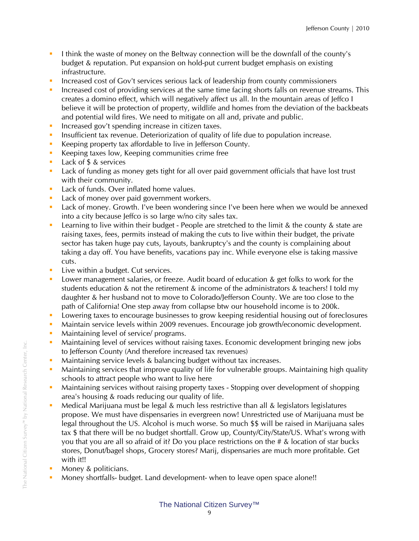- I think the waste of money on the Beltway connection will be the downfall of the county's budget & reputation. Put expansion on hold-put current budget emphasis on existing infrastructure.
- Increased cost of Gov't services serious lack of leadership from county commissioners
- Increased cost of providing services at the same time facing shorts falls on revenue streams. This creates a domino effect, which will negatively affect us all. In the mountain areas of Jeffco I believe it will be protection of property, wildlife and homes from the deviation of the backbeats and potential wild fires. We need to mitigate on all and, private and public.
- Increased gov't spending increase in citizen taxes.
- **Insufficient tax revenue. Deteriorization of quality of life due to population increase.**
- Keeping property tax affordable to live in Jefferson County.
- Keeping taxes low, Keeping communities crime free
- **Lack of \$ & services**
- **Lack of funding as money gets tight for all over paid government officials that have lost trust** with their community.
- **Lack of funds. Over inflated home values.**
- **Lack of money over paid government workers.**
- **Lack of money. Growth. I've been wondering since I've been here when we would be annexed** into a city because leffco is so large w/no city sales tax.
- Learning to live within their budget People are stretched to the limit & the county & state are raising taxes, fees, permits instead of making the cuts to live within their budget, the private sector has taken huge pay cuts, layouts, bankruptcy's and the county is complaining about taking a day off. You have benefits, vacations pay inc. While everyone else is taking massive cuts.
- **Live within a budget. Cut services.**
- Lower management salaries, or freeze. Audit board of education & get folks to work for the students education & not the retirement & income of the administrators & teachers! I told my daughter & her husband not to move to Colorado/Jefferson County. We are too close to the path of California! One step away from collapse btw our household income is to 200k.
- **Lowering taxes to encourage businesses to grow keeping residential housing out of foreclosures**
- Maintain service levels within 2009 revenues. Encourage job growth/economic development.
- **Maintaining level of service/ programs.**
- Maintaining level of services without raising taxes. Economic development bringing new jobs to Jefferson County (And therefore increased tax revenues)
- Maintaining service levels & balancing budget without tax increases.
- Maintaining services that improve quality of life for vulnerable groups. Maintaining high quality schools to attract people who want to live here
- Maintaining services without raising property taxes Stopping over development of shopping area's housing & roads reducing our quality of life.
- **Medical Marijuana must be legal & much less restrictive than all & legislators legislatures** propose. We must have dispensaries in evergreen now! Unrestricted use of Marijuana must be legal throughout the US. Alcohol is much worse. So much \$\$ will be raised in Marijuana sales tax \$ that there will be no budget shortfall. Grow up, County/City/State/US. What's wrong with you that you are all so afraid of it? Do you place restrictions on the # & location of star bucks stores, Donut/bagel shops, Grocery stores? Marij, dispensaries are much more profitable. Get with it!!
- **Money & politicians.**
- Money shortfalls- budget. Land development- when to leave open space alone!!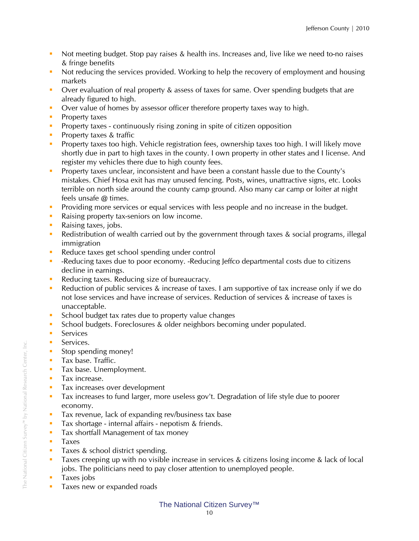- Not meeting budget. Stop pay raises & health ins. Increases and, live like we need to-no raises & fringe benefits
- Not reducing the services provided. Working to help the recovery of employment and housing markets
- Over evaluation of real property & assess of taxes for same. Over spending budgets that are already figured to high.
- Over value of homes by assessor officer therefore property taxes way to high.
- **Property taxes**
- **Property taxes continuously rising zoning in spite of citizen opposition**
- **Property taxes & traffic**
- **Property taxes too high. Vehicle registration fees, ownership taxes too high. I will likely move** shortly due in part to high taxes in the county. I own property in other states and I license. And register my vehicles there due to high county fees.
- **Property taxes unclear, inconsistent and have been a constant hassle due to the County's** mistakes. Chief Hosa exit has may unused fencing. Posts, wines, unattractive signs, etc. Looks terrible on north side around the county camp ground. Also many car camp or loiter at night feels unsafe @ times.
- **Providing more services or equal services with less people and no increase in the budget.**
- Raising property tax-seniors on low income.
- **Raising taxes, jobs.**
- Redistribution of wealth carried out by the government through taxes & social programs, illegal immigration
- Reduce taxes get school spending under control
- -Reducing taxes due to poor economy. -Reducing Jeffco departmental costs due to citizens decline in earnings.
- Reducing taxes. Reducing size of bureaucracy.
- Reduction of public services & increase of taxes. I am supportive of tax increase only if we do not lose services and have increase of services. Reduction of services & increase of taxes is unacceptable.
- School budget tax rates due to property value changes
- School budgets. Foreclosures & older neighbors becoming under populated.
- **Services**
- **Services.**
- Stop spending money!
- **Tax base. Traffic.**
- **Tax base. Unemployment.**
- **Tax increase.**
- **Tax increases over development**
- Tax increases to fund larger, more useless gov't. Degradation of life style due to poorer economy.
- Tax revenue, lack of expanding rev/business tax base
- Tax shortage internal affairs nepotism & friends.
- **Tax shortfall Management of tax money**
- **Taxes**
- **Taxes & school district spending.**
- Taxes creeping up with no visible increase in services & citizens losing income & lack of local jobs. The politicians need to pay closer attention to unemployed people.
- **Taxes jobs**
- **Taxes new or expanded roads**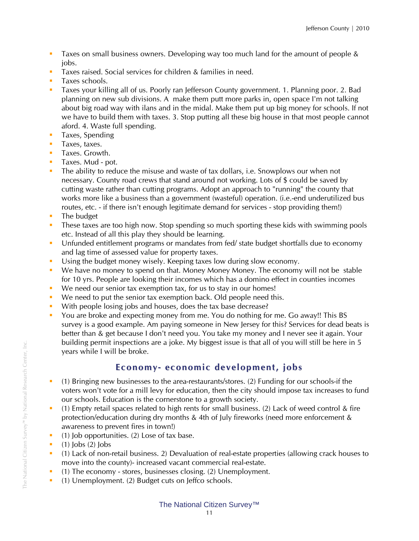- Taxes on small business owners. Developing way too much land for the amount of people & jobs.
- Taxes raised. Social services for children & families in need.
- **Taxes schools.**
- Taxes your killing all of us. Poorly ran Jefferson County government. 1. Planning poor. 2. Bad planning on new sub divisions. A make them putt more parks in, open space I'm not talking about big road way with ilans and in the midal. Make them put up big money for schools. If not we have to build them with taxes. 3. Stop putting all these big house in that most people cannot aford. 4. Waste full spending.
- **Taxes, Spending**
- **Taxes, taxes.**
- **Taxes. Growth.**
- **Taxes. Mud pot.**
- The ability to reduce the misuse and waste of tax dollars, i.e. Snowplows our when not necessary. County road crews that stand around not working. Lots of \$ could be saved by cutting waste rather than cutting programs. Adopt an approach to "running" the county that works more like a business than a government (wasteful) operation. (i.e.-end underutilized bus routes, etc. - if there isn't enough legitimate demand for services - stop providing them!)
- $\blacksquare$  The budget
- These taxes are too high now. Stop spending so much sporting these kids with swimming pools etc. Instead of all this play they should be learning.
- Unfunded entitlement programs or mandates from fed/ state budget shortfalls due to economy and lag time of assessed value for property taxes.
- Using the budget money wisely. Keeping taxes low during slow economy.
- We have no money to spend on that. Money Money Money. The economy will not be stable for 10 yrs. People are looking their incomes which has a domino effect in counties incomes
- We need our senior tax exemption tax, for us to stay in our homes!
- We need to put the senior tax exemption back. Old people need this.
- With people losing jobs and houses, does the tax base decrease?
- You are broke and expecting money from me. You do nothing for me. Go away!! This BS survey is a good example. Am paying someone in New Jersey for this? Services for dead beats is better than & get because I don't need you. You take my money and I never see it again. Your building permit inspections are a joke. My biggest issue is that all of you will still be here in 5 years while I will be broke.

## **Econo my- econo mic develop ment, jobs**

- (1) Bringing new businesses to the area-restaurants/stores. (2) Funding for our schools-if the voters won't vote for a mill levy for education, then the city should impose tax increases to fund our schools. Education is the cornerstone to a growth society.
- (1) Empty retail spaces related to high rents for small business. (2) Lack of weed control & fire protection/education during dry months & 4th of July fireworks (need more enforcement & awareness to prevent fires in town!)
- $(1)$  Job opportunities. (2) Lose of tax base.
- $(1)$  lobs  $(2)$  lobs
- (1) Lack of non-retail business. 2) Devaluation of real-estate properties (allowing crack houses to move into the county)- increased vacant commercial real-estate.
- (1) The economy stores, businesses closing. (2) Unemployment.
- (1) Unemployment. (2) Budget cuts on Jeffco schools.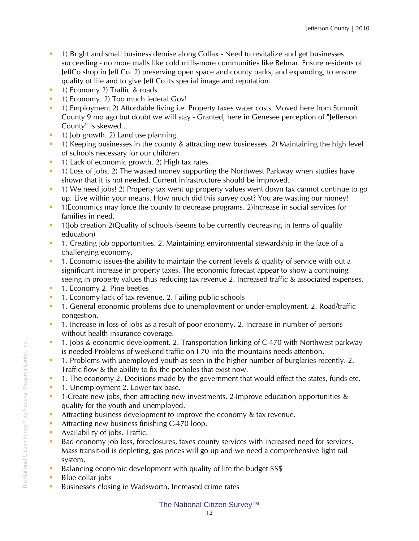- 1) Bright and small business demise along Colfax Need to revitalize and get businesses succeeding - no more malls like cold mills-more communities like Belmar. Ensure residents of JeffCo shop in Jeff Co. 2) preserving open space and county parks, and expanding, to ensure quality of life and to give Jeff Co its special image and reputation.
- **1) Economy 2) Traffic & roads**
- <sup>1</sup> 1) Economy. 2) Too much federal Gov!
- 1) Employment 2) Affordable living i.e. Property taxes water costs. Moved here from Summit County 9 mo ago but doubt we will stay - Granted, here in Genesee perception of "Jefferson County" is skewed...
- $\blacksquare$  1) Job growth. 2) Land use planning
- <sup>1</sup> 1) Keeping businesses in the county & attracting new businesses. 2) Maintaining the high level of schools necessary for our children
- **1)** Lack of economic growth. 2) High tax rates.
- <sup>1</sup> 1) Loss of jobs. 2) The wasted money supporting the Northwest Parkway when studies have shown that it is not needed. Current infrastructure should be improved.
- 1) We need jobs! 2) Property tax went up property values went down tax cannot continue to go up. Live within your means. How much did this survey cost? You are wasting our money!
- 1)Economics may force the county to decrease programs. 2)Increase in social services for families in need.
- <sup>1</sup> 1)Job creation 2)Quality of schools (seems to be currently decreasing in terms of quality education)
- 1. Creating job opportunities. 2. Maintaining environmental stewardship in the face of a challenging economy.
- **1.** Economic issues-the ability to maintain the current levels & quality of service with out a significant increase in property taxes. The economic forecast appear to show a continuing seeing in property values thus reducing tax revenue 2. Increased traffic & associated expenses.
- **1. Economy 2. Pine beetles**
- **1.** Economy-lack of tax revenue. 2. Failing public schools
- 1. General economic problems due to unemployment or under-employment. 2. Road/traffic congestion.
- 1. Increase in loss of jobs as a result of poor economy. 2. Increase in number of persons without health insurance coverage.
- <sup>1</sup> 1. Jobs & economic development. 2. Transportation-linking of C-470 with Northwest parkway is needed-Problems of weekend traffic on I-70 into the mountains needs attention.
- <sup>1</sup> 1. Problems with unemployed youth-as seen in the higher number of burglaries recently. 2. Traffic flow & the ability to fix the potholes that exist now.
- <sup>1</sup> 1. The economy 2. Decisions made by the government that would effect the states, funds etc.
- **1.** Unemployment 2. Lower tax base.
- <sup>1</sup> 1-Create new jobs, then attracting new investments. 2-Improve education opportunities & quality for the youth and unemployed.
- Attracting business development to improve the economy & tax revenue.
- Attracting new business finishing C-470 loop.
- **Availability of jobs. Traffic.**
- Bad economy job loss, foreclosures, taxes county services with increased need for services. Mass transit-oil is depleting, gas prices will go up and we need a comprehensive light rail system.
- Balancing economic development with quality of life the budget \$\$\$
- **Blue collar jobs**
- **Businesses closing ie Wadsworth, Increased crime rates**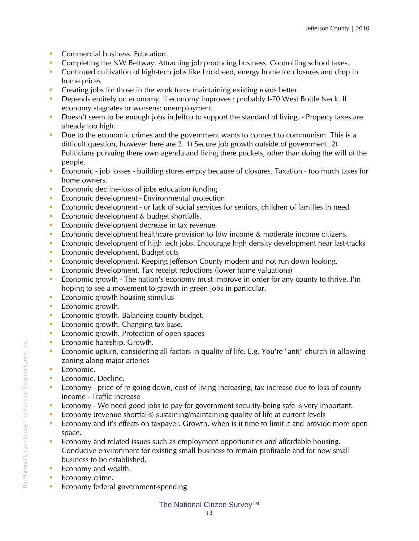- Commercial business. Education.
- **Completing the NW Beltway. Attracting job producing business. Controlling school taxes.**
- **Continued cultivation of high-tech jobs like Lockheed, energy home for closures and drop in** home prices
- **Creating jobs for those in the work force maintaining existing roads better.**
- Depends entirely on economy. If economy improves : probably I-70 West Bottle Neck. If economy stagnates or worsens: unemployment.
- Doesn't seem to be enough jobs in Jeffco to support the standard of living. Property taxes are already too high.
- Due to the economic crimes and the government wants to connect to communism. This is a difficult question, however here are 2. 1) Secure job growth outside of government. 2) Politicians pursuing there own agenda and living there pockets, other than doing the will of the people.
- Economic job losses building stores empty because of closures. Taxation too much taxes for home owners.
- **Example 1** Economic decline-loss of jobs education funding
- **Exercise Economic development Environmental protection**
- Economic development or lack of social services for seniors, children of families in need
- **Exercise Economic development & budget shortfalls.**
- **Economic development decrease in tax revenue**
- **Economic development healthcare provision to low income & moderate income citizens.**
- **Economic development of high tech jobs. Encourage high density development near fast-tracks**
- **Economic development. Budget cuts**
- **Economic development. Keeping Jefferson County modern and not run down looking.**
- **EXECONOMIC DEVELOPMENT** Tax receipt reductions (lower home valuations)
- Economic growth The nation's economy must improve in order for any county to thrive. I'm hoping to see a movement to growth in green jobs in particular.
- $\blacksquare$  Economic growth housing stimulus
- **Exercise** Economic growth.
- Economic growth. Balancing county budget.
- Economic growth. Changing tax base.
- **Exercise Economic growth. Protection of open spaces**
- **Exercise Economic hardship. Growth.**
- Economic upturn, considering all factors in quality of life. E.g. You're "anti" church in allowing zoning along major arteries
- **Economic.**
- **Economic. Decline.**
- Economy price of re going down, cost of living increasing, tax increase due to loss of county income - Traffic increase
- Economy We need good jobs to pay for government security-being safe is very important.
- Economy (revenue shortfalls) sustaining/maintaining quality of life at current levels
- **Economy and it's effects on taxpayer. Growth, when is it time to limit it and provide more open** space.
- Economy and related issues such as employment opportunities and affordable housing. Conducive environment for existing small business to remain profitable and for new small business to be established.
- $\blacksquare$  Economy and wealth.
- **Economy crime.**
- **Economy federal government-spending**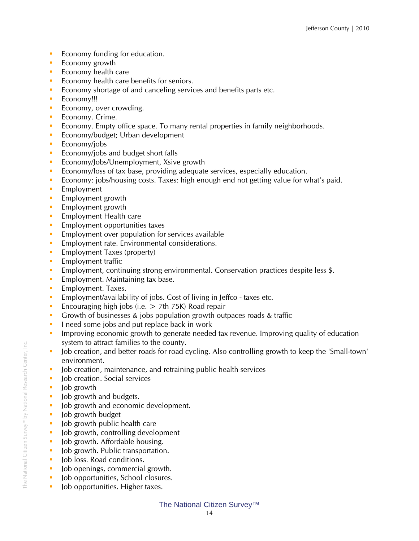- **Example 1** Economy funding for education.
- **Exercise** Economy growth
- $\blacksquare$  Economy health care
- **Economy health care benefits for seniors.**
- **Economy shortage of and canceling services and benefits parts etc.**
- **Economy!!!**
- **Economy, over crowding.**
- **Economy. Crime.**
- **Economy. Empty office space. To many rental properties in family neighborhoods.**
- **Economy/budget**; Urban development
- $\blacksquare$  Economy/jobs
- $\blacksquare$  Economy/jobs and budget short falls
- **Economy/Jobs/Unemployment, Xsive growth**
- Economy/loss of tax base, providing adequate services, especially education.
- Economy: jobs/housing costs. Taxes: high enough end not getting value for what's paid.
- **Employment**
- **Employment growth**
- **Employment growth**
- **Employment Health care**
- **Employment opportunities taxes**
- **Employment over population for services available**
- **Employment rate. Environmental considerations.**
- **Employment Taxes (property)**
- $\blacksquare$  Employment traffic
- Employment, continuing strong environmental. Conservation practices despite less \$.
- **Employment. Maintaining tax base.**
- **Employment. Taxes.**
- **Employment/availability of jobs. Cost of living in Jeffco taxes etc.**
- Encouraging high jobs (i.e.  $>$  7th 75K) Road repair
- Growth of businesses & jobs population growth outpaces roads & traffic
- I need some jobs and put replace back in work
- **IMPROVIDUATE:** Improving economic growth to generate needed tax revenue. Improving quality of education system to attract families to the county.
- Job creation, and better roads for road cycling. Also controlling growth to keep the 'Small-town' environment.
- I Job creation, maintenance, and retraining public health services
- **Job creation. Social services**
- lob growth
- Iob growth and budgets.
- **Job growth and economic development.**
- $\blacksquare$  Job growth budget
- **Job growth public health care**
- $\blacksquare$  Job growth, controlling development
- $\blacksquare$  Job growth. Affordable housing.
- $\blacksquare$  Job growth. Public transportation.
- lob loss. Road conditions.
- **Job openings, commercial growth.**
- I Job opportunities, School closures.
- **Job opportunities. Higher taxes.**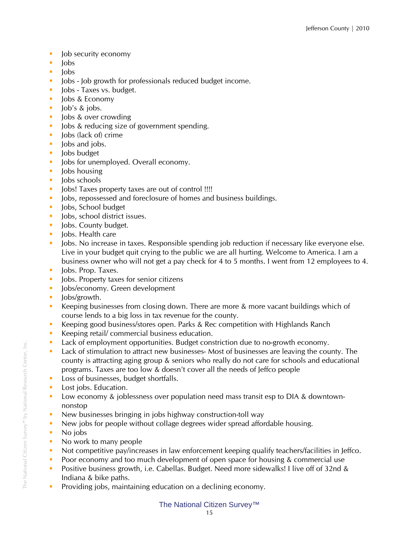- **Job security economy**
- $\blacksquare$   $\blacksquare$
- $-$ lobs
- I Jobs Job growth for professionals reduced budget income.
- lobs Taxes vs. budget.
- **Jobs & Economy**
- $\blacksquare$  Job's & jobs.
- **Jobs & over crowding**
- I Jobs & reducing size of government spending.
- Iobs (lack of) crime
- $\blacksquare$  lobs and jobs.
- **Jobs** budget
- I Jobs for unemployed. Overall economy.
- lobs housing
- $\blacksquare$  Jobs schools
- I lobs! Taxes property taxes are out of control !!!!
- **Jobs, repossessed and foreclosure of homes and business buildings.**
- **Jobs, School budget**
- lobs, school district issues.
- **Jobs. County budget.**
- $\blacksquare$  Iobs. Health care
- **Jobs.** No increase in taxes. Responsible spending job reduction if necessary like everyone else. Live in your budget quit crying to the public we are all hurting. Welcome to America. I am a business owner who will not get a pay check for 4 to 5 months. I went from 12 employees to 4.
- lobs. Prop. Taxes.
- **Jobs. Property taxes for senior citizens**
- **Jobs/economy. Green development**
- Iobs/growth.
- Keeping businesses from closing down. There are more & more vacant buildings which of course lends to a big loss in tax revenue for the county.
- Keeping good business/stores open. Parks & Rec competition with Highlands Ranch
- Keeping retail/ commercial business education.
- **Lack of employment opportunities. Budget constriction due to no-growth economy.**
- Lack of stimulation to attract new businesses- Most of businesses are leaving the county. The county is attracting aging group & seniors who really do not care for schools and educational programs. Taxes are too low & doesn't cover all the needs of Jeffco people
- **Loss of businesses, budget shortfalls.**
- **Lost jobs. Education.**
- **Low economy & joblessness over population need mass transit esp to DIA & downtown**nonstop
- New businesses bringing in jobs highway construction-toll way
- New jobs for people without collage degrees wider spread affordable housing.
- No jobs
- No work to many people
- Not competitive pay/increases in law enforcement keeping qualify teachers/facilities in Jeffco.
- Poor economy and too much development of open space for housing & commercial use
- Positive business growth, i.e. Cabellas. Budget. Need more sidewalks! I live off of 32nd & Indiana & bike paths.
- **Providing jobs, maintaining education on a declining economy.**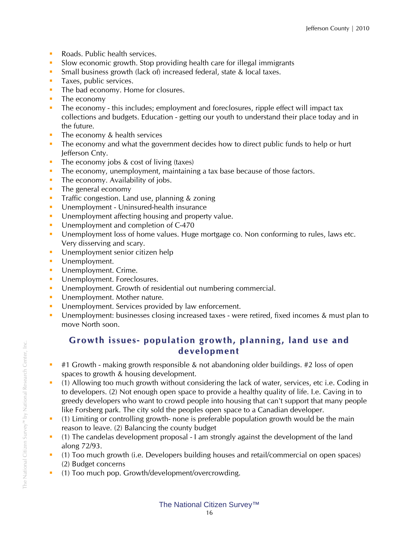- Roads. Public health services.
- Slow economic growth. Stop providing health care for illegal immigrants
- **Small business growth (lack of) increased federal, state & local taxes.**
- **Taxes, public services.**
- The bad economy. Home for closures.
- $\blacksquare$  The economy
- The economy this includes; employment and foreclosures, ripple effect will impact tax collections and budgets. Education - getting our youth to understand their place today and in the future.
- $\blacksquare$  The economy & health services
- The economy and what the government decides how to direct public funds to help or hurt Jefferson Cnty.
- The economy jobs  $& cost of living (taxes)$
- The economy, unemployment, maintaining a tax base because of those factors.
- $\blacksquare$  The economy. Availability of jobs.
- The general economy
- **Traffic congestion. Land use, planning & zoning**
- **Unemployment Uninsured-health insurance**
- **Unemployment affecting housing and property value.**
- Unemployment and completion of C-470
- Unemployment loss of home values. Huge mortgage co. Non conforming to rules, laws etc. Very disserving and scary.
- **Unemployment senior citizen help**
- **Unemployment.**
- **Unemployment. Crime.**
- **Unemployment. Foreclosures.**
- **Unemployment. Growth of residential out numbering commercial.**
- **Unemployment. Mother nature.**
- **Unemployment. Services provided by law enforcement.**
- Unemployment: businesses closing increased taxes were retired, fixed incomes & must plan to move North soon.

### **Gro wth issues- population gro wth, planning, land use and develop ment**

- $\pm$  #1 Growth making growth responsible & not abandoning older buildings. #2 loss of open spaces to growth & housing development.
- (1) Allowing too much growth without considering the lack of water, services, etc i.e. Coding in to developers. (2) Not enough open space to provide a healthy quality of life. I.e. Caving in to greedy developers who want to crowd people into housing that can't support that many people like Forsberg park. The city sold the peoples open space to a Canadian developer.
- (1) Limiting or controlling growth- none is preferable population growth would be the main reason to leave. (2) Balancing the county budget
- (1) The candelas development proposal I am strongly against the development of the land along 72/93.
- (1) Too much growth (i.e. Developers building houses and retail/commercial on open spaces) (2) Budget concerns
- (1) Too much pop. Growth/development/overcrowding.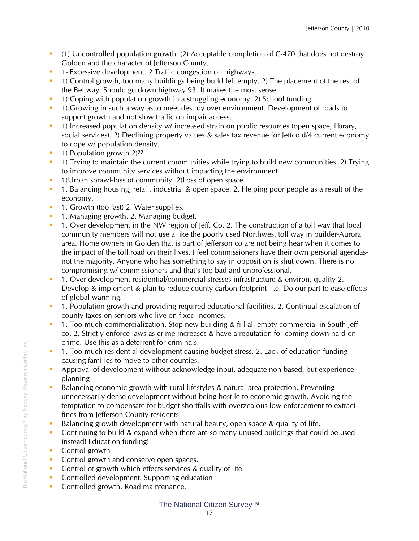- (1) Uncontrolled population growth. (2) Acceptable completion of C-470 that does not destroy Golden and the character of Jefferson County.
- **1** 1- Excessive development. 2 Traffic congestion on highways.
- <sup>1</sup> 1) Control growth, too many buildings being build left empty. 2) The placement of the rest of the Beltway. Should go down highway 93. It makes the most sense.
- 1) Coping with population growth in a struggling economy. 2) School funding.
- 1) Growing in such a way as to meet destroy over environment. Development of roads to support growth and not slow traffic on impair access.
- <sup>1</sup> 1) Increased population density w/ increased strain on public resources (open space, library, social services). 2) Declining property values & sales tax revenue for Jeffco d/4 current economy to cope w/ population density.
- <sup>1</sup> 1) Population growth 2)??
- <sup>1</sup> 1) Trying to maintain the current communities while trying to build new communities. 2) Trying to improve community services without impacting the environment
- <sup>1</sup> 1)Urban sprawl-loss of community. 2) Loss of open space.
- 1. Balancing housing, retail, industrial & open space. 2. Helping poor people as a result of the economy.
- **1.** Growth (too fast) 2. Water supplies.
- **1.** Managing growth, 2. Managing budget.
- 1. Over development in the NW region of Jeff. Co. 2. The construction of a toll way that local community members will not use a like the poorly used Northwest toll way in builder-Aurora area. Home owners in Golden that is part of Jefferson co are not being hear when it comes to the impact of the toll road on their lives. I feel commissioners have their own personal agendasnot the majority, Anyone who has something to say in opposition is shut down. There is no compromising w/ commissioners and that's too bad and unprofessional.
- 1. Over development residential/commercial stresses infrastructure & environ, quality 2. Develop & implement & plan to reduce county carbon footprint- i.e. Do our part to ease effects of global warming.
- 1. Population growth and providing required educational facilities. 2. Continual escalation of county taxes on seniors who live on fixed incomes.
- 1. Too much commercialization. Stop new building & fill all empty commercial in South Jeff co. 2. Strictly enforce laws as crime increases & have a reputation for coming down hard on crime. Use this as a deterrent for criminals.
- <sup>1</sup> 1. Too much residential development causing budget stress. 2. Lack of education funding causing families to move to other counties.
- **•** Approval of development without acknowledge input, adequate non based, but experience planning
- Balancing economic growth with rural lifestyles & natural area protection. Preventing unnecessarily dense development without being hostile to economic growth. Avoiding the temptation to compensate for budget shortfalls with overzealous low enforcement to extract fines from Jefferson County residents.
- Balancing growth development with natural beauty, open space & quality of life.
- Continuing to build & expand when there are so many unused buildings that could be used instead! Education funding!
- Control growth
- **Control growth and conserve open spaces.**
- **Control of growth which effects services & quality of life.**
- Controlled development. Supporting education
- **Controlled growth. Road maintenance.**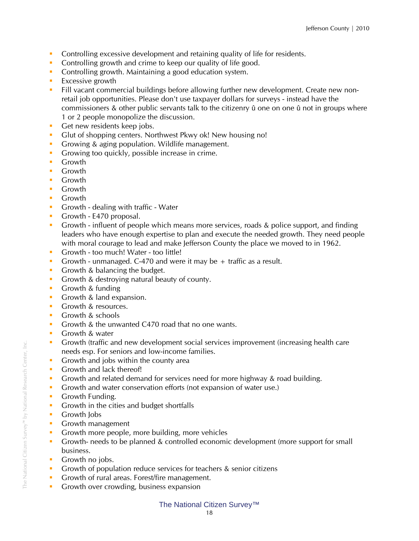- **Controlling excessive development and retaining quality of life for residents.**
- Controlling growth and crime to keep our quality of life good.
- **Controlling growth. Maintaining a good education system.**
- $\blacksquare$  Excessive growth
- Fill vacant commercial buildings before allowing further new development. Create new nonretail job opportunities. Please don't use taxpayer dollars for surveys - instead have the commissioners & other public servants talk to the citizenry û one on one û not in groups where 1 or 2 people monopolize the discussion.
- Get new residents keep jobs.
- Glut of shopping centers. Northwest Pkwy ok! New housing no!
- Growing & aging population. Wildlife management.
- Growing too quickly, possible increase in crime.
- **Growth**
- **Growth**
- **Growth**
- **Growth**
- **Growth**
- Growth dealing with traffic Water
- Growth E470 proposal.
- Growth influent of people which means more services, roads & police support, and finding leaders who have enough expertise to plan and execute the needed growth. They need people with moral courage to lead and make Jefferson County the place we moved to in 1962.
- Growth too much! Water too little!
- Growth unmanaged. C-470 and were it may be  $+$  traffic as a result.
- Growth & balancing the budget.
- Growth & destroying natural beauty of county.
- **Growth & funding**
- Growth & land expansion.
- **Growth & resources.**
- **Growth & schools**
- Growth & the unwanted C470 road that no one wants.
- **Growth & water**
- Growth (traffic and new development social services improvement (increasing health care needs esp. For seniors and low-income families.
- Growth and jobs within the county area
- **Growth and lack thereof!**
- Growth and related demand for services need for more highway & road building.
- Growth and water conservation efforts (not expansion of water use.)
- **Growth Funding.**
- Growth in the cities and budget shortfalls
- **Growth lobs**
- **Growth management**
- Growth more people, more building, more vehicles
- Growth- needs to be planned & controlled economic development (more support for small business.
- **Growth no jobs.**
- Growth of population reduce services for teachers & senior citizens
- Growth of rural areas. Forest/fire management.
- Growth over crowding, business expansion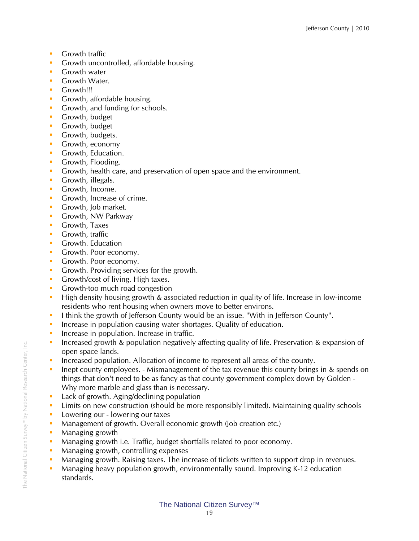- **Growth traffic**
- **Growth uncontrolled, affordable housing.**
- **Growth water**
- **Growth Water.**
- **Growth!!!**
- **Growth, affordable housing.**
- Growth, and funding for schools.
- **Growth, budget**
- **Growth, budget**
- **Growth, budgets.**
- **Growth, economy**
- **Growth, Education.**
- **Growth, Flooding.**
- Growth, health care, and preservation of open space and the environment.
- Growth, illegals.
- **Growth, Income.**
- **Growth, Increase of crime.**
- Growth, Job market.
- **Growth, NW Parkway**
- **Growth, Taxes**
- **Growth, traffic**
- **Growth. Education**
- **Growth. Poor economy.**
- **Growth. Poor economy.**
- Growth. Providing services for the growth.
- Growth/cost of living. High taxes.
- **Growth-too much road congestion**
- **High density housing growth & associated reduction in quality of life. Increase in low-income** residents who rent housing when owners move to better environs.
- I think the growth of Jefferson County would be an issue. "With in Jefferson County".
- **Increase in population causing water shortages. Quality of education.**
- **Increase in population. Increase in traffic.**
- Increased growth & population negatively affecting quality of life. Preservation & expansion of open space lands.
- Increased population. Allocation of income to represent all areas of the county.
- **Inept county employees. Mismanagement of the tax revenue this county brings in & spends on** things that don't need to be as fancy as that county government complex down by Golden - Why more marble and glass than is necessary.
- **Lack of growth. Aging/declining population**
- **EXECT** Limits on new construction (should be more responsibly limited). Maintaining quality schools
- **Lowering our lowering our taxes**
- **Management of growth. Overall economic growth (Job creation etc.)**
- **Managing growth**
- Managing growth i.e. Traffic, budget shortfalls related to poor economy.
- **Managing growth, controlling expenses**
- **Managing growth. Raising taxes. The increase of tickets written to support drop in revenues.**
- Managing heavy population growth, environmentally sound. Improving K-12 education standards.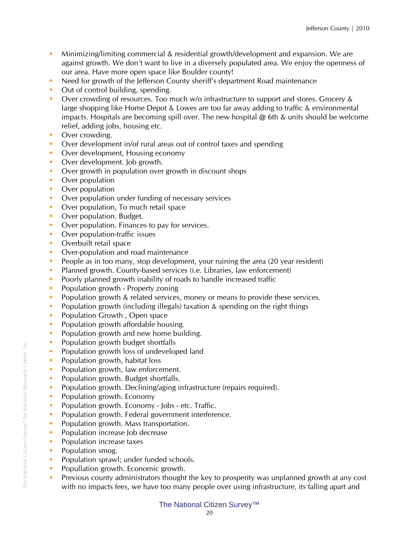- Minimizing/limiting commercial & residential growth/development and expansion. We are against growth. We don't want to live in a diversely populated area. We enjoy the openness of our area. Have more open space like Boulder county!
- Need for growth of the Jefferson County sheriff's department Road maintenance
- Out of control building, spending.
- Over crowding of resources. Too much w/o infrastructure to support and stores. Grocery & large shopping like Home Depot & Lowes are too far away adding to traffic & environmental impacts. Hospitals are becoming spill over. The new hospital  $\omega$  6th & units should be welcome relief, adding jobs, housing etc.
- Over crowding.
- Over development in/of rural areas out of control taxes and spending
- Over development, Housing economy
- Over development. Job growth.
- Over growth in population over growth in discount shops
- **•** Over population
- **•** Over population
- **Over population under funding of necessary services**
- Over population, To much retail space
- Over population. Budget.
- Over population. Finances to pay for services.
- **•** Over population-traffic issues
- Overbuilt retail space
- Over-population and road maintenance
- People as in too many, stop development, your ruining the area (20 year resident)
- **Planned growth. County-based services (i.e. Libraries, law enforcement)**
- **Poorly planned growth inability of roads to handle increased traffic**
- **•** Population growth Property zoning
- Population growth & related services, money or means to provide these services.
- **Population growth (including illegals) taxation & spending on the right things**
- **Population Growth, Open space**
- **Population growth affordable housing.**
- **Population growth and new home building.**
- **Population growth budget shortfalls**
- **Population growth loss of undeveloped land**
- **Population growth, habitat loss**
- **Population growth, law enforcement.**
- **Population growth. Budget shortfalls.**
- **Population growth. Declining/aging infrastructure (repairs required).**
- Population growth. Economy
- **Population growth. Economy Jobs etc. Traffic.**
- **Population growth. Federal government interference.**
- **Population growth. Mass transportation.**
- **Population increase Job decrease**
- **Population increase taxes**
- Population smog.
- **Population sprawl; under funded schools.**
- **Popullation growth. Economic growth.**
- **Previous county administrators thought the key to prosperity was unplanned growth at any cost** with no impacts fees, we have too many people over using infrastructure, its falling apart and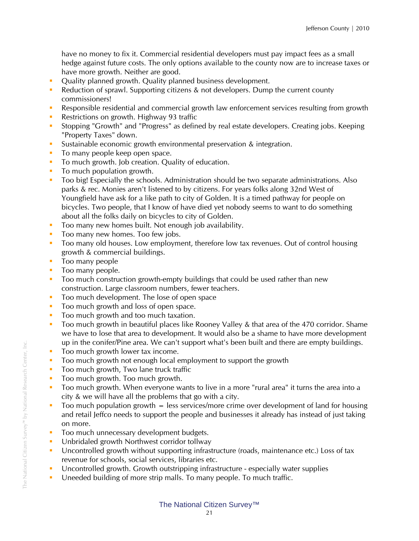have no money to fix it. Commercial residential developers must pay impact fees as a small hedge against future costs. The only options available to the county now are to increase taxes or have more growth. Neither are good.

- **•** Quality planned growth. Quality planned business development.
- Reduction of sprawl. Supporting citizens & not developers. Dump the current county commissioners!
- Responsible residential and commercial growth law enforcement services resulting from growth
- Restrictions on growth. Highway 93 traffic
- Stopping "Growth" and "Progress" as defined by real estate developers. Creating jobs. Keeping "Property Taxes" down.
- Sustainable economic growth environmental preservation & integration.
- $\blacksquare$  To many people keep open space.
- To much growth. Job creation. Quality of education.
- **To much population growth.**
- Too big! Especially the schools. Administration should be two separate administrations. Also parks & rec. Monies aren't listened to by citizens. For years folks along 32nd West of Youngfield have ask for a like path to city of Golden. It is a timed pathway for people on bicycles. Two people, that I know of have died yet nobody seems to want to do something about all the folks daily on bicycles to city of Golden.
- Too many new homes built. Not enough job availability.
- Too many new homes. Too few jobs.
- Too many old houses. Low employment, therefore low tax revenues. Out of control housing growth & commercial buildings.
- **Too many people**
- **Too many people.**
- Too much construction growth-empty buildings that could be used rather than new construction. Large classroom numbers, fewer teachers.
- Too much development. The lose of open space
- Too much growth and loss of open space.
- Too much growth and too much taxation.
- Too much growth in beautiful places like Rooney Valley & that area of the 470 corridor. Shame we have to lose that area to development. It would also be a shame to have more development up in the conifer/Pine area. We can't support what's been built and there are empty buildings.
- **Theoref 1** Too much growth lower tax income.
- Too much growth not enough local employment to support the growth
- **Too much growth, Two lane truck traffic**
- **Too much growth. Too much growth.**
- Too much growth. When everyone wants to live in a more "rural area" it turns the area into a city & we will have all the problems that go with a city.
- $\blacksquare$  Too much population growth  $=$  less services/more crime over development of land for housing and retail Jeffco needs to support the people and businesses it already has instead of just taking on more.
- Too much unnecessary development budgets.
- **Unbridaled growth Northwest corridor tollway**
- Uncontrolled growth without supporting infrastructure (roads, maintenance etc.) Loss of tax revenue for schools, social services, libraries etc.
- Uncontrolled growth. Growth outstripping infrastructure especially water supplies
- Uneeded building of more strip malls. To many people. To much traffic.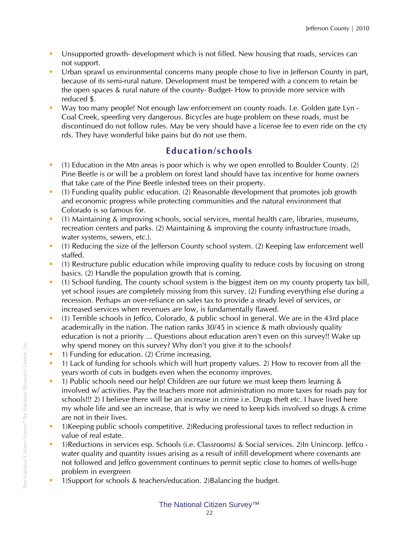- Unsupported growth- development which is not filled. New housing that roads, services can not support.
- Urban sprawl us environmental concerns many people chose to live in Jefferson County in part, because of its semi-rural nature. Development must be tempered with a concern to retain be the open spaces & rural nature of the county- Budget- How to provide more service with reduced \$.
- Way too many people! Not enough law enforcement on county roads. I.e. Golden gate Lyn Coal Creek, speeding very dangerous. Bicycles are huge problem on these roads, must be discontinued do not follow rules. May be very should have a license fee to even ride on the cty rds. They have wonderful bike pains but do not use them.

## **Education/schools**

- <sup>1</sup> (1) Education in the Mtn areas is poor which is why we open enrolled to Boulder County. (2) Pine Beetle is or will be a problem on forest land should have tax incentive for home owners that take care of the Pine Beetle infested trees on their property.
- (1) Funding quality public education. (2) Reasonable development that promotes job growth and economic progress while protecting communities and the natural environment that Colorado is so famous for.
- (1) Maintaining & improving schools, social services, mental health care, libraries, museums, recreation centers and parks. (2) Maintaining & improving the county infrastructure (roads, water systems, sewers, etc.).
- (1) Reducing the size of the Jefferson County school system. (2) Keeping law enforcement well staffed.
- (1) Restructure public education while improving quality to reduce costs by focusing on strong basics. (2) Handle the population growth that is coming.
- (1) School funding. The county school system is the biggest item on my county property tax bill, yet school issues are completely missing from this survey. (2) Funding everything else during a recession. Perhaps an over-reliance on sales tax to provide a steady level of services, or increased services when revenues are low, is fundamentally flawed.
- (1) Terrible schools in Jeffco, Colorado, & public school in general. We are in the 43rd place academically in the nation. The nation ranks 30/45 in science & math obviously quality education is not a priority ... Questions about education aren't even on this survey!! Wake up why spend money on this survey? Why don't you give it to the schools?
- **1) Funding for education.** (2) Crime increasing.
- <sup>1</sup> 1) Lack of funding for schools which will hurt property values. 2) How to recover from all the years worth of cuts in budgets even when the economy improves.
- 1) Public schools need our help! Children are our future we must keep them learning & involved w/ activities. Pay the teachers more not administration no more taxes for roads pay for schools!!! 2) I believe there will be an increase in crime i.e. Drugs theft etc. I have lived here my whole life and see an increase, that is why we need to keep kids involved so drugs & crime are not in their lives.
- 1)Keeping public schools competitive. 2)Reducing professional taxes to reflect reduction in value of real estate.
- 1)Reductions in services esp. Schools (i.e. Classrooms) & Social services. 2)In Unincorp. Jeffco water quality and quantity issues arising as a result of infill development where covenants are not followed and Jeffco government continues to permit septic close to homes of wells-huge problem in evergreen
- **1)Support for schools & teachers/education. 2)Balancing the budget.**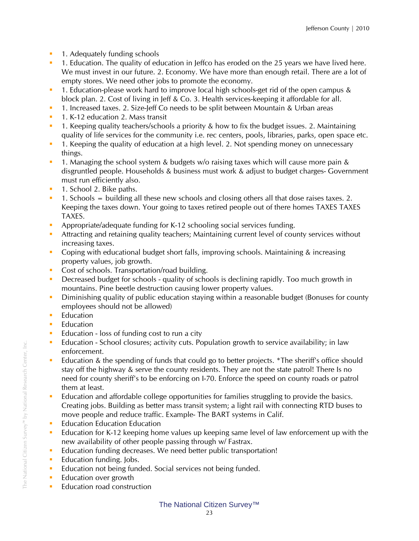- **1.** Adequately funding schools
- **1.** Education. The quality of education in Jeffco has eroded on the 25 years we have lived here. We must invest in our future. 2. Economy. We have more than enough retail. There are a lot of empty stores. We need other jobs to promote the economy.
- <sup>1</sup> 1. Education-please work hard to improve local high schools-get rid of the open campus & block plan. 2. Cost of living in Jeff & Co. 3. Health services-keeping it affordable for all.
- <sup>1</sup> 1. Increased taxes. 2. Size-Jeff Co needs to be split between Mountain & Urban areas
- **1. K-12 education 2. Mass transit**
- <sup>1</sup> 1. Keeping quality teachers/schools a priority & how to fix the budget issues. 2. Maintaining quality of life services for the community i.e. rec centers, pools, libraries, parks, open space etc.
- **1.** Keeping the quality of education at a high level. 2. Not spending money on unnecessary things.
- <sup>1</sup> 1. Managing the school system & budgets w/o raising taxes which will cause more pain & disgruntled people. Households & business must work & adjust to budget charges- Government must run efficiently also.
- **1.** School 2. Bike paths.
- 1. Schools = building all these new schools and closing others all that dose raises taxes. 2. Keeping the taxes down. Your going to taxes retired people out of there homes TAXES TAXES TAXES.
- Appropriate/adequate funding for K-12 schooling social services funding.
- Attracting and retaining quality teachers; Maintaining current level of county services without increasing taxes.
- Coping with educational budget short falls, improving schools. Maintaining & increasing property values, job growth.
- Cost of schools. Transportation/road building.
- Decreased budget for schools quality of schools is declining rapidly. Too much growth in mountains. Pine beetle destruction causing lower property values.
- **Diminishing quality of public education staying within a reasonable budget (Bonuses for county** employees should not be allowed)
- $\blacksquare$  Education
- **Education**
- **Education loss of funding cost to run a city**
- **E** Education School closures; activity cuts. Population growth to service availability; in law enforcement.
- Education & the spending of funds that could go to better projects. \*The sheriff's office should stay off the highway & serve the county residents. They are not the state patrol! There Is no need for county sheriff's to be enforcing on I-70. Enforce the speed on county roads or patrol them at least.
- **Education and affordable college opportunities for families struggling to provide the basics.** Creating jobs. Building as better mass transit system; a light rail with connecting RTD buses to move people and reduce traffic. Example- The BART systems in Calif.
- **Education Education Education**
- Education for K-12 keeping home values up keeping same level of law enforcement up with the new availability of other people passing through w/ Fastrax.
- **Education funding decreases. We need better public transportation!**
- **Education funding. Jobs.**
- Education not being funded. Social services not being funded.
- **Education over growth**
- **Education road construction**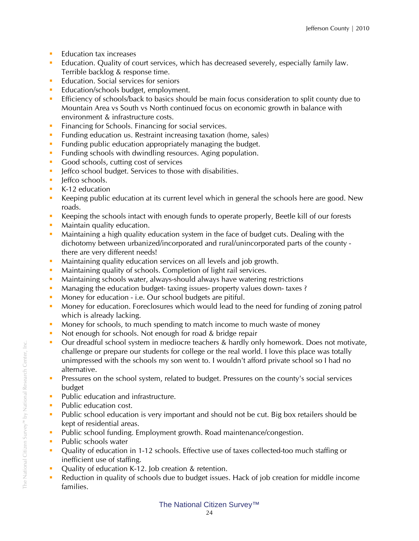- **Education tax increases**
- Education. Quality of court services, which has decreased severely, especially family law. Terrible backlog & response time.
- **Education.** Social services for seniors
- **Education/schools budget, employment.**
- **Efficiency of schools/back to basics should be main focus consideration to split county due to** Mountain Area vs South vs North continued focus on economic growth in balance with environment & infrastructure costs.
- **Financing for Schools. Financing for social services.**
- **Funding education us. Restraint increasing taxation (home, sales)**
- **Funding public education appropriately managing the budget.**
- **Funding schools with dwindling resources. Aging population.**
- Good schools, cutting cost of services
- **F** Jeffco school budget. Services to those with disabilities.
- **I**effco schools.
- K-12 education
- Keeping public education at its current level which in general the schools here are good. New roads.
- Keeping the schools intact with enough funds to operate properly, Beetle kill of our forests
- **Maintain quality education.**
- **Maintaining a high quality education system in the face of budget cuts. Dealing with the** dichotomy between urbanized/incorporated and rural/unincorporated parts of the county there are very different needs!
- **Maintaining quality education services on all levels and job growth.**
- Maintaining quality of schools. Completion of light rail services.
- **Maintaining schools water, always-should always have watering restrictions**
- Managing the education budget-taxing issues- property values down-taxes?
- Money for education i.e. Our school budgets are pitiful.
- **Money for education. Foreclosures which would lead to the need for funding of zoning patrol** which is already lacking.
- **Money for schools, to much spending to match income to much waste of money**
- Not enough for schools. Not enough for road & bridge repair
- Our dreadful school system in mediocre teachers & hardly only homework. Does not motivate, challenge or prepare our students for college or the real world. I love this place was totally unimpressed with the schools my son went to. I wouldn't afford private school so I had no alternative.
- **Pressures on the school system, related to budget. Pressures on the county's social services** budget
- **Public education and infrastructure.**
- **Public education cost.**
- **Public school education is very important and should not be cut. Big box retailers should be** kept of residential areas.
- **Public school funding. Employment growth. Road maintenance/congestion.**
- Public schools water
- Quality of education in 1-12 schools. Effective use of taxes collected-too much staffing or inefficient use of staffing.
- **•** Quality of education K-12. Job creation & retention.
- Reduction in quality of schools due to budget issues. Hack of job creation for middle income families.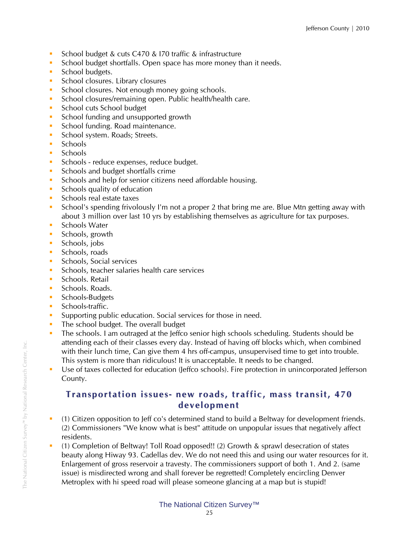- School budget & cuts C470 & 170 traffic & infrastructure
- School budget shortfalls. Open space has more money than it needs.
- School budgets.
- **School closures. Library closures**
- School closures. Not enough money going schools.
- **School closures/remaining open. Public health/health care.**
- School cuts School budget
- School funding and unsupported growth
- **School funding. Road maintenance.**
- School system. Roads; Streets.
- **Schools**
- **Schools**
- **Schools reduce expenses, reduce budget.**
- Schools and budget shortfalls crime
- **Schools and help for senior citizens need affordable housing.**
- Schools quality of education
- **Schools real estate taxes**
- **School's spending frivolously I'm not a proper 2 that bring me are. Blue Mtn getting away with School's spending frivolously I'm not a proper 2 that bring me are. Blue Mtn getting away with** about 3 million over last 10 yrs by establishing themselves as agriculture for tax purposes.
- Schools Water
- **Schools**, growth
- Schools, jobs
- **Schools**, roads
- **Schools, Social services**
- **Schools, teacher salaries health care services**
- **Schools. Retail**
- Schools. Roads.
- **Schools-Budgets**
- **Schools-traffic.**
- **Supporting public education. Social services for those in need.**
- The school budget. The overall budget
- The schools. I am outraged at the Jeffco senior high schools scheduling. Students should be attending each of their classes every day. Instead of having off blocks which, when combined with their lunch time, Can give them 4 hrs off-campus, unsupervised time to get into trouble. This system is more than ridiculous! It is unacceptable. It needs to be changed.
- Use of taxes collected for education (Jeffco schools). Fire protection in unincorporated Jefferson County.

### **Transportation issues- ne w roads, traffic, mass transit, 470 develop ment**

- (1) Citizen opposition to Jeff co's determined stand to build a Beltway for development friends. (2) Commissioners "We know what is best" attitude on unpopular issues that negatively affect residents.
- (1) Completion of Beltway! Toll Road opposed!! (2) Growth & sprawl desecration of states beauty along Hiway 93. Cadellas dev. We do not need this and using our water resources for it. Enlargement of gross reservoir a travesty. The commissioners support of both 1. And 2. (same issue) is misdirected wrong and shall forever be regretted! Completely encircling Denver Metroplex with hi speed road will please someone glancing at a map but is stupid!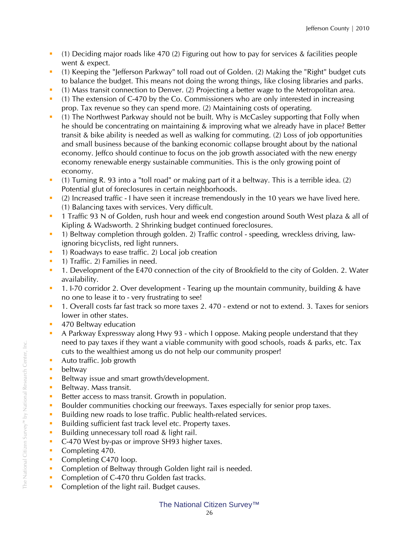- (1) Deciding major roads like 470 (2) Figuring out how to pay for services & facilities people went & expect.
- (1) Keeping the "Jefferson Parkway" toll road out of Golden. (2) Making the "Right" budget cuts to balance the budget. This means not doing the wrong things, like closing libraries and parks.
- (1) Mass transit connection to Denver. (2) Projecting a better wage to the Metropolitan area.
- (1) The extension of C-470 by the Co. Commissioners who are only interested in increasing prop. Tax revenue so they can spend more. (2) Maintaining costs of operating.
- (1) The Northwest Parkway should not be built. Why is McCasley supporting that Folly when he should be concentrating on maintaining & improving what we already have in place? Better transit & bike ability is needed as well as walking for commuting. (2) Loss of job opportunities and small business because of the banking economic collapse brought about by the national economy. Jeffco should continue to focus on the job growth associated with the new energy economy renewable energy sustainable communities. This is the only growing point of economy.
- (1) Turning R. 93 into a "toll road" or making part of it a beltway. This is a terrible idea. (2) Potential glut of foreclosures in certain neighborhoods.
- (2) Increased traffic I have seen it increase tremendously in the 10 years we have lived here. (1) Balancing taxes with services. Very difficult.
- <sup>1</sup> 1 Traffic 93 N of Golden, rush hour and week end congestion around South West plaza & all of Kipling & Wadsworth. 2 Shrinking budget continued foreclosures.
- <sup>1</sup> 1) Beltway completion through golden. 2) Traffic control speeding, wreckless driving, lawignoring bicyclists, red light runners.
- **1** 1) Roadways to ease traffic. 2) Local job creation
- **1) Traffic. 2) Families in need.**
- <sup>1</sup> 1. Development of the E470 connection of the city of Brookfield to the city of Golden. 2. Water availability.
- **1.** I-70 corridor 2. Over development Tearing up the mountain community, building & have no one to lease it to - very frustrating to see!
- <sup>1</sup> 1. Overall costs far fast track so more taxes 2. 470 extend or not to extend. 3. Taxes for seniors lower in other states.
- **470 Beltway education**
- A Parkway Expressway along Hwy 93 which I oppose. Making people understand that they need to pay taxes if they want a viable community with good schools, roads & parks, etc. Tax cuts to the wealthiest among us do not help our community prosper!
- Auto traffic. Job growth
- **beltway**
- Beltway issue and smart growth/development.
- Beltway. Mass transit.
- Better access to mass transit. Growth in population.
- Boulder communities chocking our freeways. Taxes especially for senior prop taxes.
- Building new roads to lose traffic. Public health-related services.
- Building sufficient fast track level etc. Property taxes.
- Building unnecessary toll road & light rail.
- C-470 West by-pas or improve SH93 higher taxes.
- Completing 470.
- Completing C470 loop.
- **Completion of Beltway through Golden light rail is needed.**
- Completion of C-470 thru Golden fast tracks.
- Completion of the light rail. Budget causes.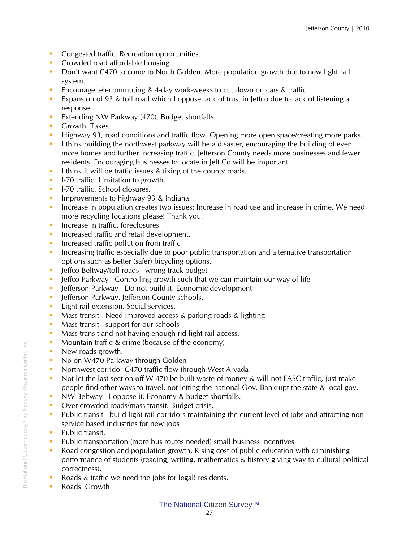- **Congested traffic. Recreation opportunities.**
- **Crowded road affordable housing**
- **Don't want C470 to come to North Golden. More population growth due to new light rail** system.
- Encourage telecommuting & 4-day work-weeks to cut down on cars & traffic
- **Expansion of 93 & toll road which I oppose lack of trust in Jeffco due to lack of listening a** response.
- **Extending NW Parkway (470). Budget shortfalls.**
- **Growth. Taxes.**
- **Highway 93, road conditions and traffic flow. Opening more open space/creating more parks.**
- I think building the northwest parkway will be a disaster, encouraging the building of even more homes and further increasing traffic. Jefferson County needs more businesses and fewer residents. Encouraging businesses to locate in Jeff Co will be important.
- I think it will be traffic issues  $\&$  fixing of the county roads.
- **I-70 traffic. Limitation to growth.**
- **I-70 traffic. School closures.**
- **Improvements to highway 93 & Indiana.**
- **Increase in population creates two issues: Increase in road use and increase in crime. We need** more recycling locations please! Thank you.
- **Increase in traffic, foreclosures**
- **Increased traffic and retail development.**
- **Increased traffic pollution from traffic**
- Increasing traffic especially due to poor public transportation and alternative transportation options such as better (safer) bicycling options.
- **F** leffco Beltway/toll roads wrong track budget
- **Jeffco Parkway Controlling growth such that we can maintain our way of life**
- **EXP** Jefferson Parkway Do not build it! Economic development
- **-** Jefferson Parkway. Jefferson County schools.
- **Light rail extension. Social services.**
- **Mass transit Need improved access & parking roads & lighting**
- **Mass transit support for our schools**
- Mass transit and not having enough rid-light rail access.
- **Mountain traffic & crime (because of the economy)**
- New roads growth.
- No on W470 Parkway through Golden
- **Northwest corridor C470 traffic flow through West Arvada**
- Not let the last section off W-470 be built waste of money & will not EASC traffic, just make people find other ways to travel, not letting the national Gov. Bankrupt the state & local gov.
- **NW Beltway I oppose it. Economy & budget shortfalls.**
- **Over crowded roads/mass transit. Budget crisis.**
- Public transit build light rail corridors maintaining the current level of jobs and attracting non service based industries for new jobs
- Public transit.
- Public transportation (more bus routes needed) small business incentives
- Road congestion and population growth. Rising cost of public education with diminishing performance of students (reading, writing, mathematics & history giving way to cultural political correctness).
- Roads & traffic we need the jobs for legal! residents.
- Roads. Growth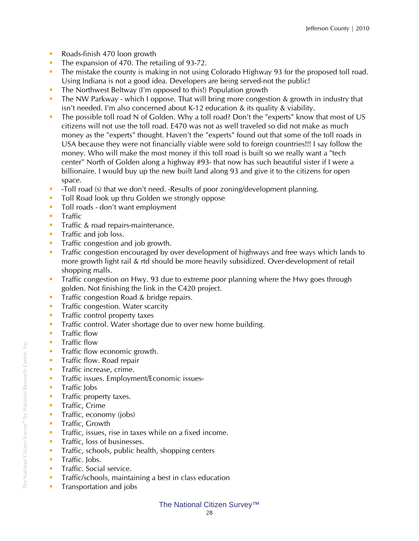- Roads-finish 470 loon growth
- The expansion of 470. The retailing of 93-72.
- **The mistake the county is making in not using Colorado Highway 93 for the proposed toll road.** Using Indiana is not a good idea. Developers are being served-not the public!
- **The Northwest Beltway (I'm opposed to this!) Population growth**
- The NW Parkway which I oppose. That will bring more congestion & growth in industry that isn't needed. I'm also concerned about K-12 education & its quality & viability.
- The possible toll road N of Golden. Why a toll road? Don't the "experts" know that most of US citizens will not use the toll road. E470 was not as well traveled so did not make as much money as the "experts" thought. Haven't the "experts" found out that some of the toll roads in USA because they were not financially viable were sold to foreign countries!!! I say follow the money. Who will make the most money if this toll road is built so we really want a "tech center" North of Golden along a highway #93- that now has such beautiful sister if I were a billionaire. I would buy up the new built land along 93 and give it to the citizens for open space.
- -Toll road (s) that we don't need. -Results of poor zoning/development planning.
- **Toll Road look up thru Golden we strongly oppose**
- **Toll roads don't want employment**
- $\blacksquare$  Traffic
- **Traffic & road repairs-maintenance.**
- **Traffic and job loss.**
- **Traffic congestion and job growth.**
- **Traffic congestion encouraged by over development of highways and free ways which lands to** more growth light rail & rtd should be more heavily subsidized. Over-development of retail shopping malls.
- **Traffic congestion on Hwy. 93 due to extreme poor planning where the Hwy goes through** golden. Not finishing the link in the C420 project.
- **Traffic congestion Road & bridge repairs.**
- **Traffic congestion. Water scarcity**
- **Traffic control property taxes**
- **Traffic control. Water shortage due to over new home building.**
- **Traffic flow**
- **Traffic flow**
- **Traffic flow economic growth.**
- **Traffic flow. Road repair**
- **Traffic increase, crime.**
- **Traffic issues. Employment/Economic issues-**
- **Traffic Jobs**
- **Traffic property taxes.**
- **Traffic, Crime**
- **Traffic, economy (jobs)**
- **Traffic, Growth**
- **Traffic, issues, rise in taxes while on a fixed income.**
- **Traffic, loss of businesses.**
- **Traffic, schools, public health, shopping centers**
- **Traffic. lobs.**
- **Traffic. Social service.**
- **Traffic/schools, maintaining a best in class education**
- **Transportation and jobs**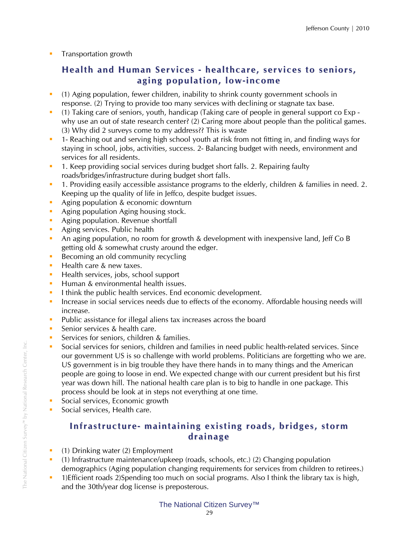**Transportation growth** 

## **Health and Hu man Services - healthcare, services to seniors, aging population, lo w-inco me**

- (1) Aging population, fewer children, inability to shrink county government schools in response. (2) Trying to provide too many services with declining or stagnate tax base.
- (1) Taking care of seniors, youth, handicap (Taking care of people in general support co Exp why use an out of state research center? (2) Caring more about people than the political games. (3) Why did 2 surveys come to my address?? This is waste
- 1- Reaching out and serving high school youth at risk from not fitting in, and finding ways for staying in school, jobs, activities, success. 2- Balancing budget with needs, environment and services for all residents.
- 1. Keep providing social services during budget short falls. 2. Repairing faulty roads/bridges/infrastructure during budget short falls.
- 1. Providing easily accessible assistance programs to the elderly, children & families in need. 2. Keeping up the quality of life in Jeffco, despite budget issues.
- Aging population & economic downturn
- Aging population Aging housing stock.
- Aging population. Revenue shortfall
- Aging services. Public health
- An aging population, no room for growth & development with inexpensive land, Jeff Co B getting old & somewhat crusty around the edger.
- Becoming an old community recycling
- Health care & new taxes.
- Health services, jobs, school support
- **Human & environmental health issues.**
- I think the public health services. End economic development.
- Increase in social services needs due to effects of the economy. Affordable housing needs will increase.
- **Public assistance for illegal aliens tax increases across the board**
- Senior services & health care.
- Services for seniors, children & families.
- Social services for seniors, children and families in need public health-related services. Since our government US is so challenge with world problems. Politicians are forgetting who we are. US government is in big trouble they have there hands in to many things and the American people are going to loose in end. We expected change with our current president but his first year was down hill. The national health care plan is to big to handle in one package. This process should be look at in steps not everything at one time.
- Social services, Economic growth
- Social services, Health care.

## **Infrastructure- maintaining existing roads, bridges, stor m drainage**

- $\blacksquare$  (1) Drinking water (2) Employment
- (1) Infrastructure maintenance/upkeep (roads, schools, etc.) (2) Changing population demographics (Aging population changing requirements for services from children to retirees.)
- <sup>1</sup> 1)Efficient roads 2)Spending too much on social programs. Also I think the library tax is high, and the 30th/year dog license is preposterous.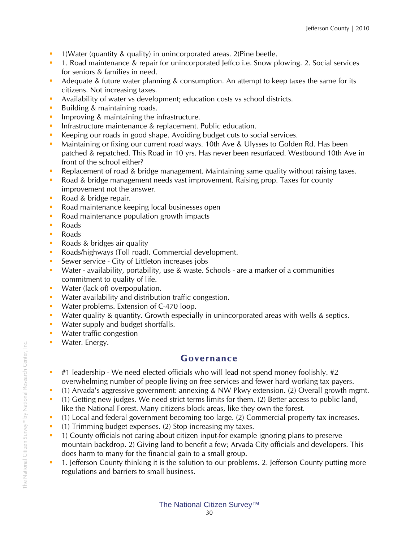- **1)Water (quantity & quality) in unincorporated areas. 2)Pine beetle.**
- **1.** Road maintenance & repair for unincorporated Jeffco i.e. Snow plowing. 2. Social services for seniors & families in need.
- Adequate & future water planning & consumption. An attempt to keep taxes the same for its citizens. Not increasing taxes.
- Availability of water vs development; education costs vs school districts.
- Building & maintaining roads.
- **IMPROVING & maintaining the infrastructure.**
- **Infrastructure maintenance & replacement. Public education.**
- Keeping our roads in good shape. Avoiding budget cuts to social services.
- Maintaining or fixing our current road ways. 10th Ave & Ulysses to Golden Rd. Has been patched & repatched. This Road in 10 yrs. Has never been resurfaced. Westbound 10th Ave in front of the school either?
- **Replacement of road & bridge management. Maintaining same quality without raising taxes.**
- Road & bridge management needs vast improvement. Raising prop. Taxes for county improvement not the answer.
- Road & bridge repair.
- Road maintenance keeping local businesses open
- Road maintenance population growth impacts
- **Roads**
- **Roads**
- Roads & bridges air quality
- **Roads/highways (Toll road). Commercial development.**
- **Sewer service City of Littleton increases jobs**
- Water availability, portability, use & waste. Schools are a marker of a communities commitment to quality of life.
- **Water (lack of) overpopulation.**
- **Water availability and distribution traffic congestion.**
- **Water problems. Extension of C-470 loop.**
- Water quality & quantity. Growth especially in unincorporated areas with wells & septics.
- **Water supply and budget shortfalls.**
- **Water traffic congestion**
- **Water. Energy.**

### **Governance**

- $\bullet$  #1 leadership We need elected officials who will lead not spend money foolishly. #2 overwhelming number of people living on free services and fewer hard working tax payers.
- (1) Arvada's aggressive government: annexing & NW Pkwy extension. (2) Overall growth mgmt.
- (1) Getting new judges. We need strict terms limits for them. (2) Better access to public land, like the National Forest. Many citizens block areas, like they own the forest.
- (1) Local and federal government becoming too large. (2) Commercial property tax increases.
- (1) Trimming budget expenses. (2) Stop increasing my taxes.
- <sup>1</sup> 1) County officials not caring about citizen input-for example ignoring plans to preserve mountain backdrop. 2) Giving land to benefit a few; Arvada City officials and developers. This does harm to many for the financial gain to a small group.
- **1.** Jefferson County thinking it is the solution to our problems. 2. Jefferson County putting more regulations and barriers to small business.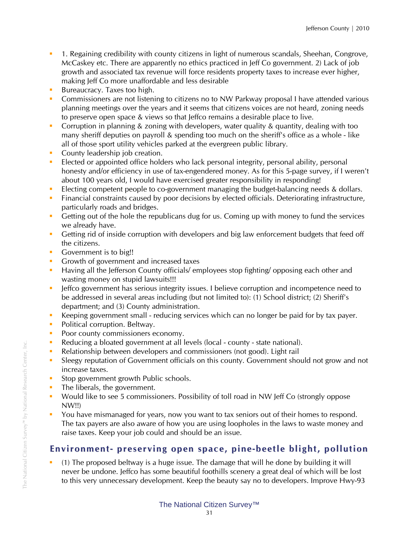- 1. Regaining credibility with county citizens in light of numerous scandals, Sheehan, Congrove, McCaskey etc. There are apparently no ethics practiced in Jeff Co government. 2) Lack of job growth and associated tax revenue will force residents property taxes to increase ever higher, making Jeff Co more unaffordable and less desirable
- **Bureaucracy.** Taxes too high.
- **Commissioners are not listening to citizens no to NW Parkway proposal I have attended various** planning meetings over the years and it seems that citizens voices are not heard, zoning needs to preserve open space & views so that Jeffco remains a desirable place to live.
- Corruption in planning & zoning with developers, water quality & quantity, dealing with too many sheriff deputies on payroll & spending too much on the sheriff's office as a whole - like all of those sport utility vehicles parked at the evergreen public library.
- County leadership job creation.
- Elected or appointed office holders who lack personal integrity, personal ability, personal honesty and/or efficiency in use of tax-engendered money. As for this 5-page survey, if I weren't about 100 years old, I would have exercised greater responsibility in responding!
- Electing competent people to co-government managing the budget-balancing needs & dollars.
- Financial constraints caused by poor decisions by elected officials. Deteriorating infrastructure, particularly roads and bridges.
- Getting out of the hole the republicans dug for us. Coming up with money to fund the services we already have.
- Getting rid of inside corruption with developers and big law enforcement budgets that feed off the citizens.
- Government is to big!!
- Growth of government and increased taxes
- **Having all the Jefferson County officials/ employees stop fighting/ opposing each other and** wasting money on stupid lawsuits!!!
- **In the leffco government has serious integrity issues. I believe corruption and incompetence need to** be addressed in several areas including (but not limited to): (1) School district; (2) Sheriff's department; and (3) County administration.
- Keeping government small reducing services which can no longer be paid for by tax payer.
- Political corruption. Beltway.
- Poor county commissioners economy.
- Reducing a bloated government at all levels (local county state national).
- Relationship between developers and commissioners (not good). Light rail
- Sleegy reputation of Government officials on this county. Government should not grow and not increase taxes.
- **Stop government growth Public schools.**
- The liberals, the government.
- Would like to see 5 commissioners. Possibility of toll road in NW Jeff Co (strongly oppose NW!!)
- You have mismanaged for years, now you want to tax seniors out of their homes to respond. The tax payers are also aware of how you are using loopholes in the laws to waste money and raise taxes. Keep your job could and should be an issue.

## **Environ ment- preserving open space, pine-beetle blight, pollution**

 (1) The proposed beltway is a huge issue. The damage that will he done by building it will never be undone. Jeffco has some beautiful foothills scenery a great deal of which will be lost to this very unnecessary development. Keep the beauty say no to developers. Improve Hwy-93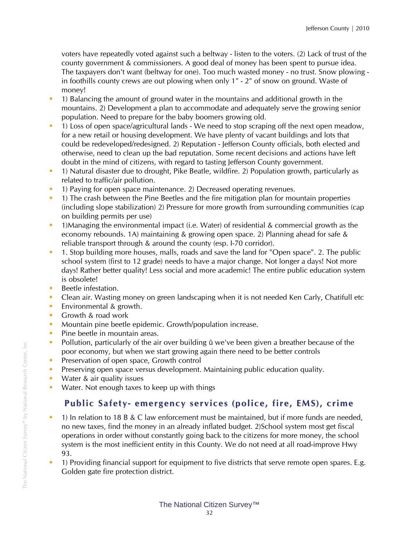voters have repeatedly voted against such a beltway - listen to the voters. (2) Lack of trust of the county government & commissioners. A good deal of money has been spent to pursue idea. The taxpayers don't want (beltway for one). Too much wasted money - no trust. Snow plowing in foothills county crews are out plowing when only 1" - 2" of snow on ground. Waste of money!

- 1) Balancing the amount of ground water in the mountains and additional growth in the mountains. 2) Development a plan to accommodate and adequately serve the growing senior population. Need to prepare for the baby boomers growing old.
- 1) Loss of open space/agricultural lands We need to stop scraping off the next open meadow, for a new retail or housing development. We have plenty of vacant buildings and lots that could be redeveloped/redesigned. 2) Reputation - Jefferson County officials, both elected and otherwise, need to clean up the bad reputation. Some recent decisions and actions have left doubt in the mind of citizens, with regard to tasting Jefferson County government.
- 1) Natural disaster due to drought, Pike Beatle, wildfire. 2) Population growth, particularly as related to traffic/air pollution.
- <sup>1</sup> 1) Paying for open space maintenance. 2) Decreased operating revenues.
- <sup>1</sup> 1) The crash between the Pine Beetles and the fire mitigation plan for mountain properties (including slope stabilization) 2) Pressure for more growth from surrounding communities (cap on building permits per use)
- 1)Managing the environmental impact (i.e. Water) of residential & commercial growth as the economy rebounds. 1A) maintaining & growing open space. 2) Planning ahead for safe & reliable transport through & around the county (esp. I-70 corridor).
- 1. Stop building more houses, malls, roads and save the land for "Open space". 2. The public school system (first to 12 grade) needs to have a major change. Not longer a days! Not more days! Rather better quality! Less social and more academic! The entire public education system is obsolete!
- **Beetle infestation.**
- Clean air. Wasting money on green landscaping when it is not needed Ken Carly, Chatifull etc
- **E**nvironmental & growth.
- **Growth & road work**
- **Mountain pine beetle epidemic. Growth/population increase.**
- **Pine beetle in mountain areas.**
- Pollution, particularly of the air over building û we've been given a breather because of the poor economy, but when we start growing again there need to be better controls
- **Preservation of open space, Growth control**
- **Preserving open space versus development. Maintaining public education quality.**
- **Water & air quality issues**
- **Water.** Not enough taxes to keep up with things

## **Public Safety- e mergency services (police, fire, E MS), cri me**

- <sup>1</sup> 1) In relation to 18 B & C law enforcement must be maintained, but if more funds are needed, no new taxes, find the money in an already inflated budget. 2)School system most get fiscal operations in order without constantly going back to the citizens for more money, the school system is the most inefficient entity in this County. We do not need at all road-improve Hwy 93.
- <sup>1</sup> 1) Providing financial support for equipment to five districts that serve remote open spares. E.g. Golden gate fire protection district.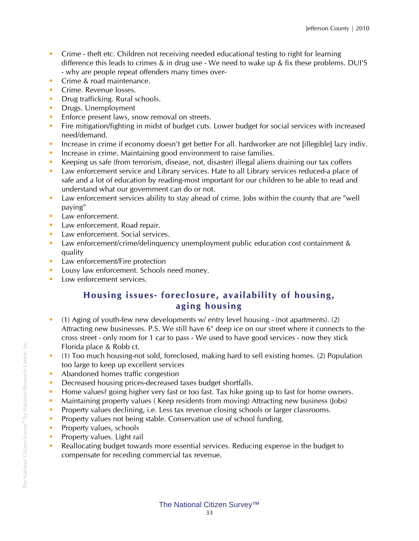- Crime theft etc. Children not receiving needed educational testing to right for learning difference this leads to crimes & in drug use - We need to wake up & fix these problems. DUI'S - why are people repeat offenders many times over-
- **Crime & road maintenance.**
- **Crime. Revenue losses.**
- **Drug trafficking. Rural schools.**
- **Drugs. Unemployment**
- **Enforce present laws, snow removal on streets.**
- **Fire mitigation/fighting in midst of budget cuts. Lower budget for social services with increased** need/demand.
- Increase in crime if economy doesn't get better For all. hardworker are not [illegible] lazy indiv.
- **Increase in crime. Maintaining good environment to raise families.**
- Keeping us safe (from terrorism, disease, not, disaster) illegal aliens draining our tax coffers
- **Law enforcement service and Library services. Hate to all Library services reduced-a place of** safe and a lot of education by reading-most important for our children to be able to read and understand what our government can do or not.
- Law enforcement services ability to stay ahead of crime. Jobs within the county that are "well paying"
- **Law enforcement.**
- **Law enforcement. Road repair.**
- **Law enforcement. Social services.**
- Law enforcement/crime/delinquency unemployment public education cost containment & quality
- **Law enforcement/Fire protection**
- **Lousy law enforcement. Schools need money.**
- **Low enforcement services.**

## **Housing issues- foreclosure, availability of housing, aging housing**

- (1) Aging of youth-few new developments w/ entry level housing (not apartments). (2) Attracting new businesses. P.S. We still have 6" deep ice on our street where it connects to the cross street - only room for 1 car to pass - We used to have good services - now they stick Florida place & Robb ct.
- (1) Too much housing-not sold, foreclosed, making hard to sell existing homes. (2) Population too large to keep up excellent services
- Abandoned homes traffic congestion
- Decreased housing prices-decreased taxes budget shortfalls.
- **Home values?** going higher very fast or too fast. Tax hike going up to fast for home owners.
- Maintaining property values ( Keep residents from moving) Attracting new business (Jobs)
- **Property values declining, i.e. Less tax revenue closing schools or larger classrooms.**
- **Property values not being stable. Conservation use of school funding.**
- **Property values, schools**
- **Property values. Light rail**
- Reallocating budget towards more essential services. Reducing expense in the budget to compensate for receding commercial tax revenue.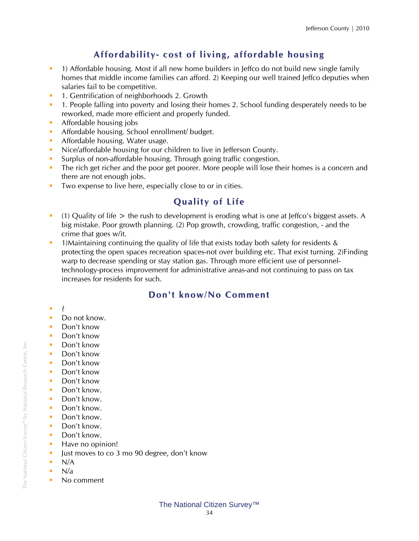## **Affordability- cost of living, affordable housing**

- 1) Affordable housing. Most if all new home builders in Jeffco do not build new single family homes that middle income families can afford. 2) Keeping our well trained Jeffco deputies when salaries fail to be competitive.
- **1.** Gentrification of neighborhoods 2. Growth
- **1.** People falling into poverty and losing their homes 2. School funding desperately needs to be reworked, made more efficient and properly funded.
- **Affordable housing jobs**
- Affordable housing. School enrollment/ budget.
- **Affordable housing. Water usage.**
- Nice/affordable housing for our children to live in Jefferson County.
- Surplus of non-affordable housing. Through going traffic congestion.
- The rich get richer and the poor get poorer. More people will lose their homes is a concern and there are not enough jobs.
- Two expense to live here, especially close to or in cities.

## **Quality of Life**

- (1) Quality of life  $>$  the rush to development is eroding what is one at Jeffco's biggest assets. A big mistake. Poor growth planning. (2) Pop growth, crowding, traffic congestion, - and the crime that goes w/it.
- <sup>1</sup> 1)Maintaining continuing the quality of life that exists today both safety for residents & protecting the open spaces recreation spaces-not over building etc. That exist turning. 2)Finding warp to decrease spending or stay station gas. Through more efficient use of personneltechnology-process improvement for administrative areas-and not continuing to pass on tax increases for residents for such.

## **Don't kno w/ No Co mment**

- $\blacksquare$
- Do not know.
- Don't know
- **Don't know**
- **Don't know**
- Don't know
- **Don't know**
- Don't know
- **Don't know**
- Don't know.
- Don't know.
- Don't know.
- Don't know.
- Don't know.
- Don't know.
- **Have no opinion!**
- Ust moves to co 3 mo 90 degree, don't know
- $N/A$
- $N/a$
- No comment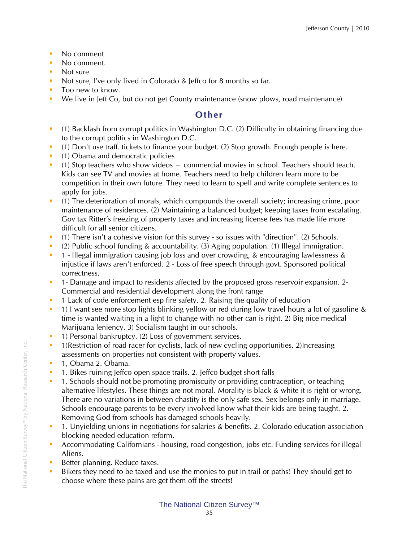- No comment
- No comment.
- Not sure
- Not sure, I've only lived in Colorado & Jeffco for 8 months so far.
- **Too new to know.**
- We live in Jeff Co, but do not get County maintenance (snow plows, road maintenance)

### **Other**

- (1) Backlash from corrupt politics in Washington D.C. (2) Difficulty in obtaining financing due to the corrupt politics in Washington D.C.
- (1) Don't use traff. tickets to finance your budget. (2) Stop growth. Enough people is here.
- **•** (1) Obama and democratic policies
- $(1)$  Stop teachers who show videos  $=$  commercial movies in school. Teachers should teach. Kids can see TV and movies at home. Teachers need to help children learn more to be competition in their own future. They need to learn to spell and write complete sentences to apply for jobs.
- (1) The deterioration of morals, which compounds the overall society; increasing crime, poor maintenance of residences. (2) Maintaining a balanced budget; keeping taxes from escalating. Gov tax Ritter's freezing of property taxes and increasing license fees has made life more difficult for all senior citizens.
- (1) There isn't a cohesive vision for this survey so issues with "direction". (2) Schools.
- (2) Public school funding & accountability. (3) Aging population. (1) Illegal immigration.
- <sup>1</sup> Illegal immigration causing job loss and over crowding, & encouraging lawlessness & injustice if laws aren't enforced. 2 - Loss of free speech through govt. Sponsored political correctness.
- <sup>1</sup> 1- Damage and impact to residents affected by the proposed gross reservoir expansion. 2-Commercial and residential development along the front range
- <sup>1</sup> 1 Lack of code enforcement esp fire safety. 2. Raising the quality of education
- 1) I want see more stop lights blinking yellow or red during low travel hours a lot of gasoline & time is wanted waiting in a light to change with no other can is right. 2) Big nice medical Marijuana leniency. 3) Socialism taught in our schools.
- <sup>1</sup> 1) Personal bankruptcy. (2) Loss of government services.
- <sup>1</sup> 1)Restriction of road racer for cyclists, lack of new cycling opportunities. 2)Increasing assessments on properties not consistent with property values.
- **1. Obama 2. Obama.**
- **1. Bikes ruining Jeffco open space trails. 2. Jeffco budget short falls**
- **1.** Schools should not be promoting promiscuity or providing contraception, or teaching alternative lifestyles. These things are not moral. Morality is black & white it is right or wrong. There are no variations in between chastity is the only safe sex. Sex belongs only in marriage. Schools encourage parents to be every involved know what their kids are being taught. 2. Removing God from schools has damaged schools heavily.
- 1. Unyielding unions in negotiations for salaries & benefits. 2. Colorado education association blocking needed education reform.
- Accommodating Californians housing, road congestion, jobs etc. Funding services for illegal Aliens.
- Better planning. Reduce taxes.
- Bikers they need to be taxed and use the monies to put in trail or paths! They should get to choose where these pains are get them off the streets!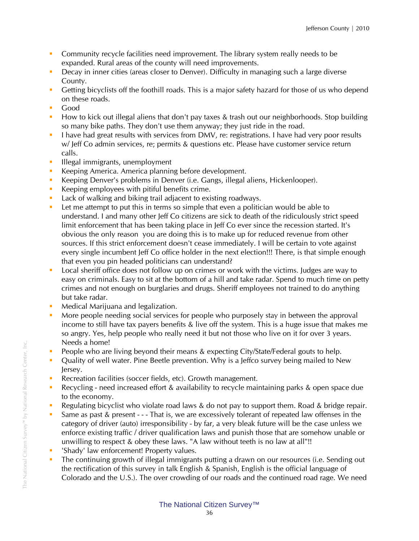- Community recycle facilities need improvement. The library system really needs to be expanded. Rural areas of the county will need improvements.
- Decay in inner cities (areas closer to Denver). Difficulty in managing such a large diverse County.
- Getting bicyclists off the foothill roads. This is a major safety hazard for those of us who depend on these roads.
- **Good**
- How to kick out illegal aliens that don't pay taxes & trash out our neighborhoods. Stop building so many bike paths. They don't use them anyway; they just ride in the road.
- I have had great results with services from DMV, re: registrations. I have had very poor results w/ Jeff Co admin services, re; permits & questions etc. Please have customer service return calls.
- **Illegal immigrants, unemployment**
- Keeping America. America planning before development.
- Keeping Denver's problems in Denver (i.e. Gangs, illegal aliens, Hickenlooper).
- Keeping employees with pitiful benefits crime.
- **Lack of walking and biking trail adjacent to existing roadways.**
- **Let me attempt to put this in terms so simple that even a politician would be able to** understand. I and many other Jeff Co citizens are sick to death of the ridiculously strict speed limit enforcement that has been taking place in Jeff Co ever since the recession started. It's obvious the only reason you are doing this is to make up for reduced revenue from other sources. If this strict enforcement doesn't cease immediately. I will be certain to vote against every single incumbent Jeff Co office holder in the next election!!! There, is that simple enough that even you pin headed politicians can understand?
- Local sheriff office does not follow up on crimes or work with the victims. Judges are way to easy on criminals. Easy to sit at the bottom of a hill and take radar. Spend to much time on petty crimes and not enough on burglaries and drugs. Sheriff employees not trained to do anything but take radar.
- **Medical Marijuana and legalization.**
- More people needing social services for people who purposely stay in between the approval income to still have tax payers benefits & live off the system. This is a huge issue that makes me so angry. Yes, help people who really need it but not those who live on it for over 3 years. Needs a home!
- **People who are living beyond their means & expecting City/State/Federal gouts to help.**
- **•** Quality of well water. Pine Beetle prevention. Why is a Jeffco survey being mailed to New Jersey.
- Recreation facilities (soccer fields, etc). Growth management.
- Recycling need increased effort & availability to recycle maintaining parks & open space due to the economy.
- **Regulating bicyclist who violate road laws & do not pay to support them. Road & bridge repair.**
- Same as past & present - That is, we are excessively tolerant of repeated law offenses in the category of driver (auto) irresponsibility - by far, a very bleak future will be the case unless we enforce existing traffic / driver qualification laws and punish those that are somehow unable or unwilling to respect & obey these laws. "A law without teeth is no law at all"!!
- 'Shady' law enforcement! Property values.
- The continuing growth of illegal immigrants putting a drawn on our resources (i.e. Sending out the rectification of this survey in talk English & Spanish, English is the official language of Colorado and the U.S.). The over crowding of our roads and the continued road rage. We need